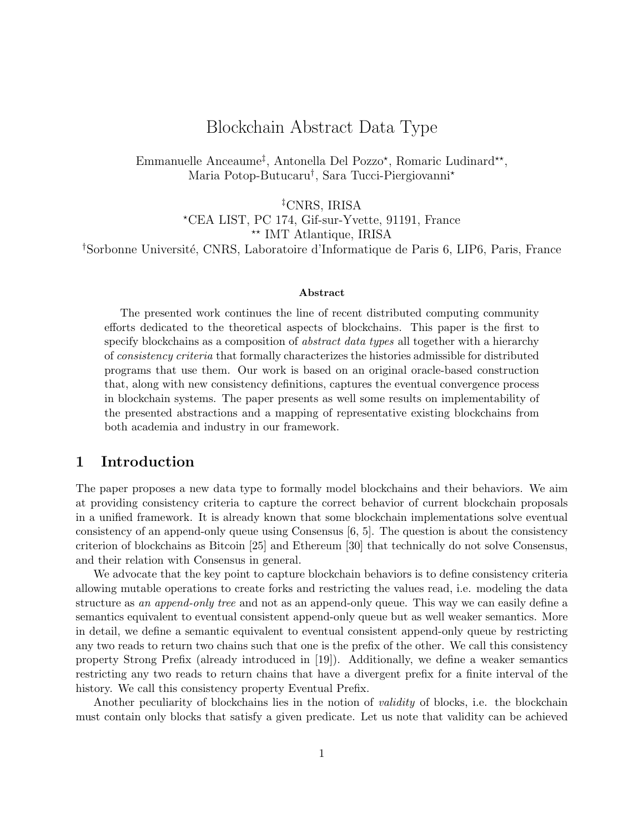# Blockchain Abstract Data Type

Emmanuelle Anceaume<sup>‡</sup>, Antonella Del Pozzo<sup>\*</sup>, Romaric Ludinard<sup>\*\*</sup>, Maria Potop-Butucaru† , Sara Tucci-Piergiovanni?

‡CNRS, IRISA ?CEA LIST, PC 174, Gif-sur-Yvette, 91191, France \*\* IMT Atlantique, IRISA <sup>†</sup>Sorbonne Université, CNRS, Laboratoire d'Informatique de Paris 6, LIP6, Paris, France

#### Abstract

The presented work continues the line of recent distributed computing community efforts dedicated to the theoretical aspects of blockchains. This paper is the first to specify blockchains as a composition of *abstract data types* all together with a hierarchy of consistency criteria that formally characterizes the histories admissible for distributed programs that use them. Our work is based on an original oracle-based construction that, along with new consistency definitions, captures the eventual convergence process in blockchain systems. The paper presents as well some results on implementability of the presented abstractions and a mapping of representative existing blockchains from both academia and industry in our framework.

## 1 Introduction

The paper proposes a new data type to formally model blockchains and their behaviors. We aim at providing consistency criteria to capture the correct behavior of current blockchain proposals in a unified framework. It is already known that some blockchain implementations solve eventual consistency of an append-only queue using Consensus [6, 5]. The question is about the consistency criterion of blockchains as Bitcoin [25] and Ethereum [30] that technically do not solve Consensus, and their relation with Consensus in general.

We advocate that the key point to capture blockchain behaviors is to define consistency criteria allowing mutable operations to create forks and restricting the values read, i.e. modeling the data structure as an append-only tree and not as an append-only queue. This way we can easily define a semantics equivalent to eventual consistent append-only queue but as well weaker semantics. More in detail, we define a semantic equivalent to eventual consistent append-only queue by restricting any two reads to return two chains such that one is the prefix of the other. We call this consistency property Strong Prefix (already introduced in [19]). Additionally, we define a weaker semantics restricting any two reads to return chains that have a divergent prefix for a finite interval of the history. We call this consistency property Eventual Prefix.

Another peculiarity of blockchains lies in the notion of *validity* of blocks, i.e. the blockchain must contain only blocks that satisfy a given predicate. Let us note that validity can be achieved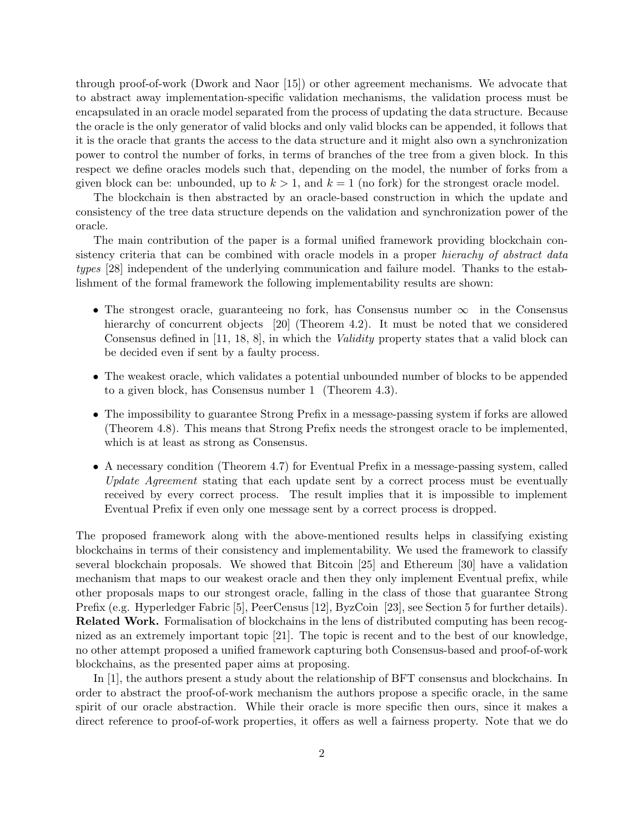through proof-of-work (Dwork and Naor [15]) or other agreement mechanisms. We advocate that to abstract away implementation-specific validation mechanisms, the validation process must be encapsulated in an oracle model separated from the process of updating the data structure. Because the oracle is the only generator of valid blocks and only valid blocks can be appended, it follows that it is the oracle that grants the access to the data structure and it might also own a synchronization power to control the number of forks, in terms of branches of the tree from a given block. In this respect we define oracles models such that, depending on the model, the number of forks from a given block can be: unbounded, up to  $k > 1$ , and  $k = 1$  (no fork) for the strongest oracle model.

The blockchain is then abstracted by an oracle-based construction in which the update and consistency of the tree data structure depends on the validation and synchronization power of the oracle.

The main contribution of the paper is a formal unified framework providing blockchain consistency criteria that can be combined with oracle models in a proper *hierachy of abstract data* types [28] independent of the underlying communication and failure model. Thanks to the establishment of the formal framework the following implementability results are shown:

- The strongest oracle, guaranteeing no fork, has Consensus number  $\infty$  in the Consensus hierarchy of concurrent objects [20] (Theorem 4.2). It must be noted that we considered Consensus defined in [11, 18, 8], in which the *Validity* property states that a valid block can be decided even if sent by a faulty process.
- The weakest oracle, which validates a potential unbounded number of blocks to be appended to a given block, has Consensus number 1 (Theorem 4.3).
- The impossibility to guarantee Strong Prefix in a message-passing system if forks are allowed (Theorem 4.8). This means that Strong Prefix needs the strongest oracle to be implemented, which is at least as strong as Consensus.
- A necessary condition (Theorem 4.7) for Eventual Prefix in a message-passing system, called Update Agreement stating that each update sent by a correct process must be eventually received by every correct process. The result implies that it is impossible to implement Eventual Prefix if even only one message sent by a correct process is dropped.

The proposed framework along with the above-mentioned results helps in classifying existing blockchains in terms of their consistency and implementability. We used the framework to classify several blockchain proposals. We showed that Bitcoin [25] and Ethereum [30] have a validation mechanism that maps to our weakest oracle and then they only implement Eventual prefix, while other proposals maps to our strongest oracle, falling in the class of those that guarantee Strong Prefix (e.g. Hyperledger Fabric [5], PeerCensus [12], ByzCoin [23], see Section 5 for further details). Related Work. Formalisation of blockchains in the lens of distributed computing has been recognized as an extremely important topic [21]. The topic is recent and to the best of our knowledge, no other attempt proposed a unified framework capturing both Consensus-based and proof-of-work blockchains, as the presented paper aims at proposing.

In [1], the authors present a study about the relationship of BFT consensus and blockchains. In order to abstract the proof-of-work mechanism the authors propose a specific oracle, in the same spirit of our oracle abstraction. While their oracle is more specific then ours, since it makes a direct reference to proof-of-work properties, it offers as well a fairness property. Note that we do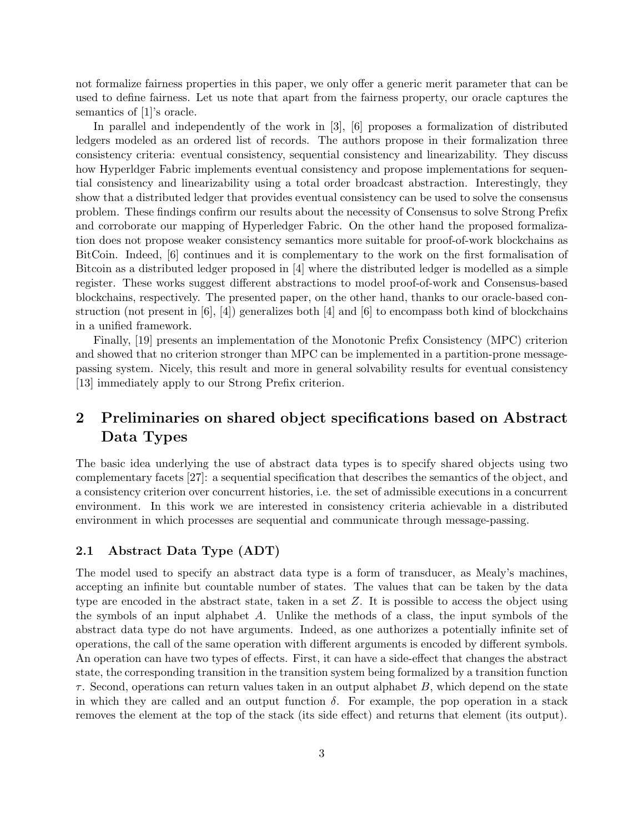not formalize fairness properties in this paper, we only offer a generic merit parameter that can be used to define fairness. Let us note that apart from the fairness property, our oracle captures the semantics of [1]'s oracle.

In parallel and independently of the work in [3], [6] proposes a formalization of distributed ledgers modeled as an ordered list of records. The authors propose in their formalization three consistency criteria: eventual consistency, sequential consistency and linearizability. They discuss how Hyperldger Fabric implements eventual consistency and propose implementations for sequential consistency and linearizability using a total order broadcast abstraction. Interestingly, they show that a distributed ledger that provides eventual consistency can be used to solve the consensus problem. These findings confirm our results about the necessity of Consensus to solve Strong Prefix and corroborate our mapping of Hyperledger Fabric. On the other hand the proposed formalization does not propose weaker consistency semantics more suitable for proof-of-work blockchains as BitCoin. Indeed, [6] continues and it is complementary to the work on the first formalisation of Bitcoin as a distributed ledger proposed in [4] where the distributed ledger is modelled as a simple register. These works suggest different abstractions to model proof-of-work and Consensus-based blockchains, respectively. The presented paper, on the other hand, thanks to our oracle-based construction (not present in  $[6]$ ,  $[4]$ ) generalizes both  $[4]$  and  $[6]$  to encompass both kind of blockchains in a unified framework.

Finally, [19] presents an implementation of the Monotonic Prefix Consistency (MPC) criterion and showed that no criterion stronger than MPC can be implemented in a partition-prone messagepassing system. Nicely, this result and more in general solvability results for eventual consistency [13] immediately apply to our Strong Prefix criterion.

# 2 Preliminaries on shared object specifications based on Abstract Data Types

The basic idea underlying the use of abstract data types is to specify shared objects using two complementary facets [27]: a sequential specification that describes the semantics of the object, and a consistency criterion over concurrent histories, i.e. the set of admissible executions in a concurrent environment. In this work we are interested in consistency criteria achievable in a distributed environment in which processes are sequential and communicate through message-passing.

## 2.1 Abstract Data Type (ADT)

The model used to specify an abstract data type is a form of transducer, as Mealy's machines, accepting an infinite but countable number of states. The values that can be taken by the data type are encoded in the abstract state, taken in a set Z. It is possible to access the object using the symbols of an input alphabet A. Unlike the methods of a class, the input symbols of the abstract data type do not have arguments. Indeed, as one authorizes a potentially infinite set of operations, the call of the same operation with different arguments is encoded by different symbols. An operation can have two types of effects. First, it can have a side-effect that changes the abstract state, the corresponding transition in the transition system being formalized by a transition function  $\tau$ . Second, operations can return values taken in an output alphabet B, which depend on the state in which they are called and an output function  $\delta$ . For example, the pop operation in a stack removes the element at the top of the stack (its side effect) and returns that element (its output).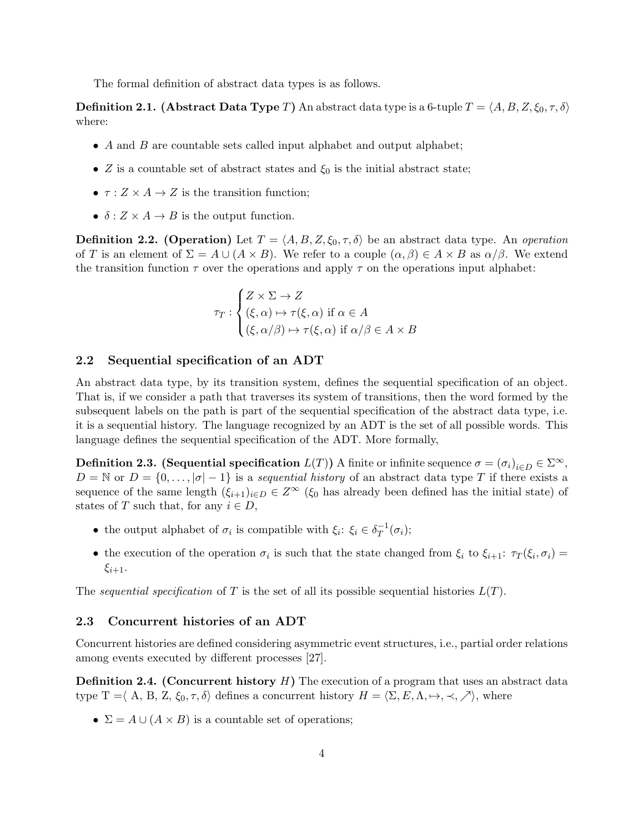The formal definition of abstract data types is as follows.

**Definition 2.1.** (Abstract Data Type T) An abstract data type is a 6-tuple  $T = \langle A, B, Z, \xi_0, \tau, \delta \rangle$ where:

- A and B are countable sets called input alphabet and output alphabet;
- Z is a countable set of abstract states and  $\xi_0$  is the initial abstract state;
- $\tau : Z \times A \rightarrow Z$  is the transition function;
- $\delta: Z \times A \rightarrow B$  is the output function.

**Definition 2.2. (Operation)** Let  $T = \langle A, B, Z, \xi_0, \tau, \delta \rangle$  be an abstract data type. An *operation* of T is an element of  $\Sigma = A \cup (A \times B)$ . We refer to a couple  $(\alpha, \beta) \in A \times B$  as  $\alpha/\beta$ . We extend the transition function  $\tau$  over the operations and apply  $\tau$  on the operations input alphabet:

$$
\tau_T : \begin{cases} Z \times \Sigma \to Z \\ (\xi, \alpha) \mapsto \tau(\xi, \alpha) \text{ if } \alpha \in A \\ (\xi, \alpha/\beta) \mapsto \tau(\xi, \alpha) \text{ if } \alpha/\beta \in A \times B \end{cases}
$$

#### 2.2 Sequential specification of an ADT

An abstract data type, by its transition system, defines the sequential specification of an object. That is, if we consider a path that traverses its system of transitions, then the word formed by the subsequent labels on the path is part of the sequential specification of the abstract data type, i.e. it is a sequential history. The language recognized by an ADT is the set of all possible words. This language defines the sequential specification of the ADT. More formally,

**Definition 2.3.** (Sequential specification  $L(T)$ ) A finite or infinite sequence  $\sigma = (\sigma_i)_{i \in D} \in \Sigma^{\infty}$ ,  $D = \mathbb{N}$  or  $D = \{0, \ldots, |\sigma| - 1\}$  is a sequential history of an abstract data type T if there exists a sequence of the same length  $(\xi_{i+1})_{i\in D} \in Z^{\infty}$  ( $\xi_0$  has already been defined has the initial state) of states of T such that, for any  $i \in D$ ,

- the output alphabet of  $\sigma_i$  is compatible with  $\xi_i: \xi_i \in \delta_T^{-1}$  $T^1(\sigma_i);$
- the execution of the operation  $\sigma_i$  is such that the state changed from  $\xi_i$  to  $\xi_{i+1}$ :  $\tau_T(\xi_i, \sigma_i)$  =  $\xi_{i+1}$ .

The sequential specification of T is the set of all its possible sequential histories  $L(T)$ .

### 2.3 Concurrent histories of an ADT

Concurrent histories are defined considering asymmetric event structures, i.e., partial order relations among events executed by different processes [27].

**Definition 2.4. (Concurrent history**  $H$ **)** The execution of a program that uses an abstract data type T =  $\langle A, B, Z, \xi_0, \tau, \delta \rangle$  defines a concurrent history  $H = \langle \Sigma, E, \Lambda, \mapsto, \prec, \nearrow \rangle$ , where

•  $\Sigma = A \cup (A \times B)$  is a countable set of operations;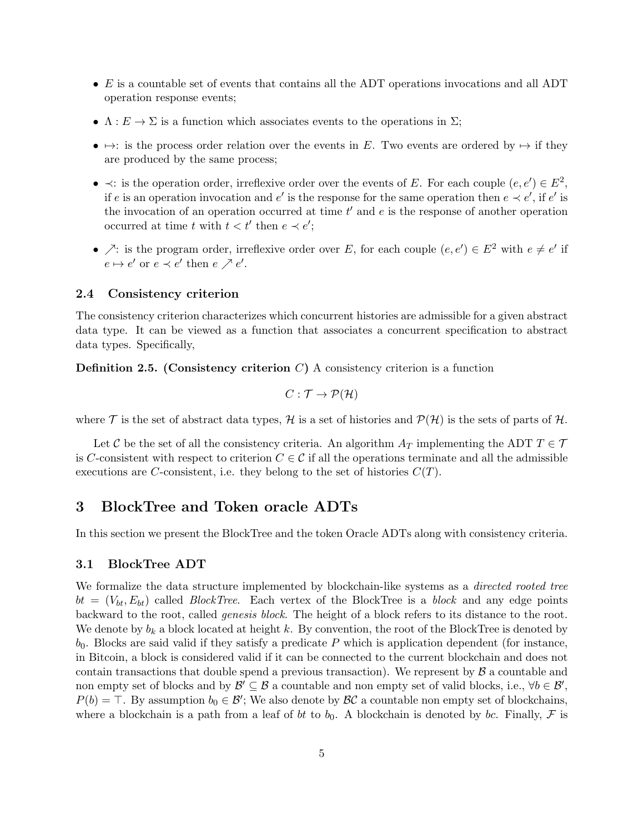- E is a countable set of events that contains all the ADT operations invocations and all ADT operation response events;
- $\Lambda: E \to \Sigma$  is a function which associates events to the operations in  $\Sigma$ ;
- $\rightarrow$ : is the process order relation over the events in E. Two events are ordered by  $\rightarrow$  if they are produced by the same process;
- $\prec$ : is the operation order, irreflexive order over the events of E. For each couple  $(e, e') \in E^2$ , if e is an operation invocation and e' is the response for the same operation then  $e \prec e'$ , if  $e'$  is the invocation of an operation occurred at time  $t'$  and  $e$  is the response of another operation occurred at time t with  $t < t'$  then  $e \prec e'$ ;
- $\nearrow$ : is the program order, irreflexive order over E, for each couple  $(e, e') \in E^2$  with  $e \neq e'$  if  $e \mapsto e'$  or  $e \prec e'$  then  $e \nearrow e'.$

### 2.4 Consistency criterion

The consistency criterion characterizes which concurrent histories are admissible for a given abstract data type. It can be viewed as a function that associates a concurrent specification to abstract data types. Specifically,

**Definition 2.5.** (Consistency criterion  $C$ ) A consistency criterion is a function

$$
C: \mathcal{T} \to \mathcal{P}(\mathcal{H})
$$

where  $\mathcal T$  is the set of abstract data types,  $\mathcal H$  is a set of histories and  $\mathcal P(\mathcal H)$  is the sets of parts of  $\mathcal H$ .

Let C be the set of all the consistency criteria. An algorithm  $A_T$  implementing the ADT  $T \in \mathcal{T}$ is C-consistent with respect to criterion  $C \in \mathcal{C}$  if all the operations terminate and all the admissible executions are C-consistent, i.e. they belong to the set of histories  $C(T)$ .

## 3 BlockTree and Token oracle ADTs

In this section we present the BlockTree and the token Oracle ADTs along with consistency criteria.

#### 3.1 BlockTree ADT

We formalize the data structure implemented by blockchain-like systems as a *directed rooted tree*  $bt = (V_{bt}, E_{bt})$  called *BlockTree*. Each vertex of the BlockTree is a *block* and any edge points backward to the root, called genesis block. The height of a block refers to its distance to the root. We denote by  $b_k$  a block located at height k. By convention, the root of the BlockTree is denoted by  $b_0$ . Blocks are said valid if they satisfy a predicate P which is application dependent (for instance, in Bitcoin, a block is considered valid if it can be connected to the current blockchain and does not contain transactions that double spend a previous transaction). We represent by  $\beta$  a countable and non empty set of blocks and by  $\mathcal{B}' \subseteq \mathcal{B}$  a countable and non empty set of valid blocks, i.e.,  $\forall b \in \mathcal{B}'$ ,  $P(b) = \top$ . By assumption  $b_0 \in \mathcal{B}'$ ; We also denote by  $\mathcal{BC}$  a countable non empty set of blockchains, where a blockchain is a path from a leaf of bt to  $b_0$ . A blockchain is denoted by bc. Finally, F is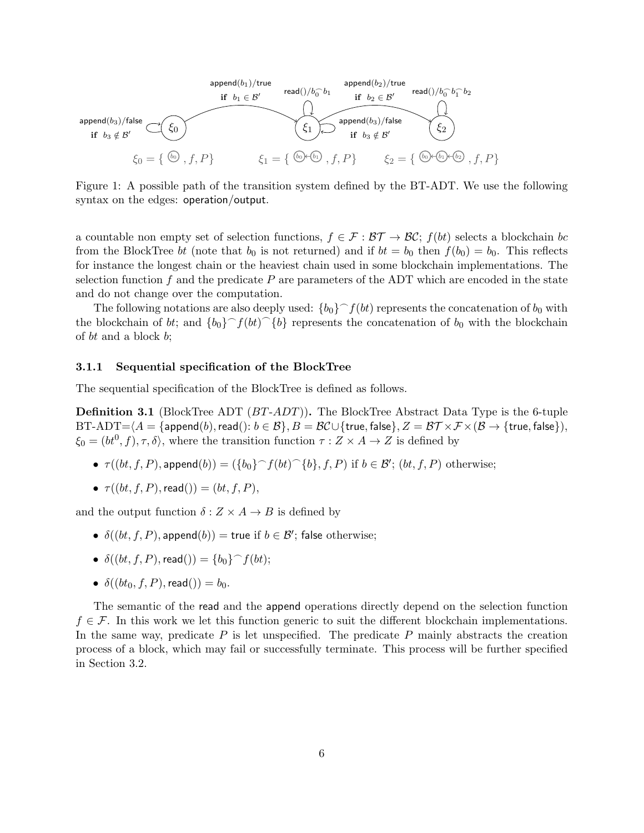

Figure 1: A possible path of the transition system defined by the BT-ADT. We use the following syntax on the edges: operation/output.

a countable non empty set of selection functions,  $f \in \mathcal{F} : \mathcal{BT} \to \mathcal{BC}$ ;  $f(bt)$  selects a blockchain bc from the BlockTree bt (note that  $b_0$  is not returned) and if  $bt = b_0$  then  $f(b_0) = b_0$ . This reflects for instance the longest chain or the heaviest chain used in some blockchain implementations. The selection function f and the predicate  $P$  are parameters of the ADT which are encoded in the state and do not change over the computation.

The following notations are also deeply used:  $\{b_0\} \frown f(bt)$  represents the concatenation of  $b_0$  with the blockchain of bt; and  $\{b_0\}^{\frown} f(bt)$  represents the concatenation of  $b_0$  with the blockchain of bt and a block b;

#### 3.1.1 Sequential specification of the BlockTree

The sequential specification of the BlockTree is defined as follows.

**Definition 3.1** (BlockTree ADT  $(BT-ADT)$ ). The BlockTree Abstract Data Type is the 6-tuple  $BT-ADT=\langle A = \{append(b),read(): b \in \mathcal{B}\}, B = \mathcal{BC} \cup \{true, false\}, Z = \mathcal{BT} \times \mathcal{F} \times (\mathcal{B} \rightarrow \{true, false\}),$  $\xi_0 = (bt^0, f), \tau, \delta$ , where the transition function  $\tau : Z \times A \to Z$  is defined by

- $\tau((bt, f, P), \text{append}(b)) = (\{b_0\}^f f(bt)^{f(b)}, f, P)$  if  $b \in \mathcal{B}'$ ;  $(bt, f, P)$  otherwise;
- $\tau((bt, f, P), \text{read})) = (bt, f, P),$

and the output function  $\delta: Z \times A \rightarrow B$  is defined by

- $\delta((bt, f, P), \text{append}(b)) = \text{true}$  if  $b \in \mathcal{B}'$ ; false otherwise;
- $\delta((bt, f, P), \text{read})) = \{b_0\} \cap f(bt);$
- $\delta((bt_0, f, P), \text{read})) = b_0$ .

The semantic of the read and the append operations directly depend on the selection function  $f \in \mathcal{F}$ . In this work we let this function generic to suit the different blockchain implementations. In the same way, predicate  $P$  is let unspecified. The predicate  $P$  mainly abstracts the creation process of a block, which may fail or successfully terminate. This process will be further specified in Section 3.2.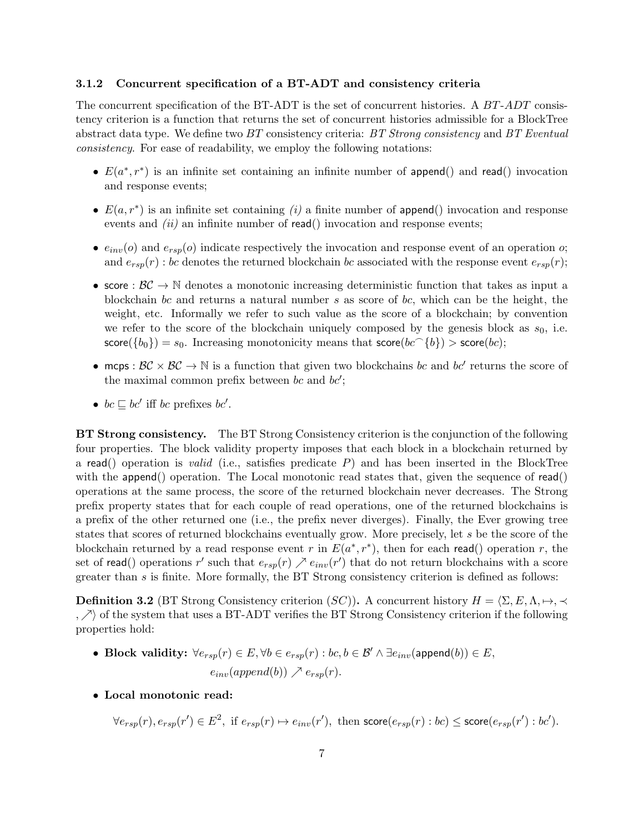## 3.1.2 Concurrent specification of a BT-ADT and consistency criteria

The concurrent specification of the BT-ADT is the set of concurrent histories. A BT-ADT consistency criterion is a function that returns the set of concurrent histories admissible for a BlockTree abstract data type. We define two  $BT$  consistency criteria:  $BT$  Strong consistency and  $BT$  Eventual consistency. For ease of readability, we employ the following notations:

- $E(a^*, r^*)$  is an infinite set containing an infinite number of append() and read() invocation and response events;
- $E(a, r^*)$  is an infinite set containing (i) a finite number of append() invocation and response events and  $(ii)$  an infinite number of read() invocation and response events;
- $e_{inv}(o)$  and  $e_{rsp}(o)$  indicate respectively the invocation and response event of an operation  $o;$ and  $e_{rsp}(r)$ : bc denotes the returned blockchain bc associated with the response event  $e_{rsp}(r)$ ;
- score :  $\mathcal{BC} \to \mathbb{N}$  denotes a monotonic increasing deterministic function that takes as input a blockchain bc and returns a natural number  $s$  as score of bc, which can be the height, the weight, etc. Informally we refer to such value as the score of a blockchain; by convention we refer to the score of the blockchain uniquely composed by the genesis block as  $s_0$ , i.e.  $\textsf{score}(\{b_0\}) = s_0$ . Increasing monotonicity means that  $\textsf{score}(bc^{-1}\{b\}) > \textsf{score}(bc)$ ;
- mcps:  $BC \times BC \rightarrow \mathbb{N}$  is a function that given two blockchains bc and bc' returns the score of the maximal common prefix between bc and  $bc'$ ;
- $bc \sqsubseteq bc'$  iff bc prefixes bc'.

BT Strong consistency. The BT Strong Consistency criterion is the conjunction of the following four properties. The block validity property imposes that each block in a blockchain returned by a read() operation is *valid* (i.e., satisfies predicate  $P$ ) and has been inserted in the BlockTree with the append() operation. The Local monotonic read states that, given the sequence of read() operations at the same process, the score of the returned blockchain never decreases. The Strong prefix property states that for each couple of read operations, one of the returned blockchains is a prefix of the other returned one (i.e., the prefix never diverges). Finally, the Ever growing tree states that scores of returned blockchains eventually grow. More precisely, let s be the score of the blockchain returned by a read response event r in  $E(a^*, r^*)$ , then for each read() operation r, the set of read() operations r' such that  $e_{rsp}(r) \nearrow e_{inv}(r')$  that do not return blockchains with a score greater than  $s$  is finite. More formally, the BT Strong consistency criterion is defined as follows:

**Definition 3.2** (BT Strong Consistency criterion  $(SC)$ ). A concurrent history  $H = \langle \Sigma, E, \Lambda, \mapsto, \prec \rangle$  $, \nearrow$  of the system that uses a BT-ADT verifies the BT Strong Consistency criterion if the following properties hold:

- Block validity:  $\forall e_{rsp}(r) \in E, \forall b \in e_{rsp}(r) : bc, b \in \mathcal{B}' \land \exists e_{inv}(\text{append}(b)) \in E$ ,  $e_{inv}(append(b)) \nearrow e_{rsp}(r).$
- Local monotonic read:

 $\forall e_{rsp}(r), e_{rsp}(r') \in E^2$ , if  $e_{rsp}(r) \mapsto e_{inv}(r')$ , then  $\mathsf{score}(e_{rsp}(r) : bc) \leq \mathsf{score}(e_{rsp}(r') : bc').$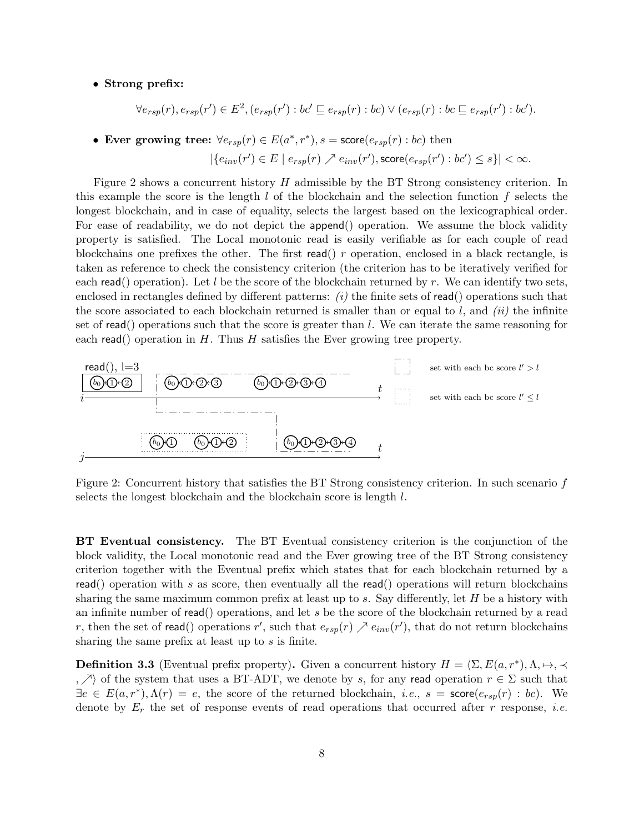#### • Strong prefix:

$$
\forall e_{rsp}(r), e_{rsp}(r') \in E^2, (e_{rsp}(r'): bc' \sqsubseteq e_{rsp}(r): bc) \vee (e_{rsp}(r): bc \sqsubseteq e_{rsp}(r'): bc').
$$

• Ever growing tree:  $\forall e_{rsp}(r) \in E(a^*, r^*)$ ,  $s = \text{score}(e_{rsp}(r) : bc)$  then

$$
|\{e_{inv}(r')\in E\mid e_{rsp}(r)\nearrow e_{inv}(r'),\mathsf{score}(e_{rsp}(r'):bc')\leq s\}|<\infty.
$$

Figure 2 shows a concurrent history H admissible by the BT Strong consistency criterion. In this example the score is the length  $l$  of the blockchain and the selection function  $f$  selects the longest blockchain, and in case of equality, selects the largest based on the lexicographical order. For ease of readability, we do not depict the append() operation. We assume the block validity property is satisfied. The Local monotonic read is easily verifiable as for each couple of read blockchains one prefixes the other. The first read() r operation, enclosed in a black rectangle, is taken as reference to check the consistency criterion (the criterion has to be iteratively verified for each read() operation). Let l be the score of the blockchain returned by r. We can identify two sets, enclosed in rectangles defined by different patterns:  $(i)$  the finite sets of read() operations such that the score associated to each blockchain returned is smaller than or equal to  $l$ , and  $(ii)$  the infinite set of read() operations such that the score is greater than  $l$ . We can iterate the same reasoning for each read() operation in H. Thus H satisfies the Ever growing tree property.



Figure 2: Concurrent history that satisfies the BT Strong consistency criterion. In such scenario f selects the longest blockchain and the blockchain score is length l.

BT Eventual consistency. The BT Eventual consistency criterion is the conjunction of the block validity, the Local monotonic read and the Ever growing tree of the BT Strong consistency criterion together with the Eventual prefix which states that for each blockchain returned by a read() operation with s as score, then eventually all the read() operations will return blockchains sharing the same maximum common prefix at least up to  $s$ . Say differently, let  $H$  be a history with an infinite number of read() operations, and let  $s$  be the score of the blockchain returned by a read r, then the set of read() operations r', such that  $e_{rsp}(r) \nearrow e_{inv}(r')$ , that do not return blockchains sharing the same prefix at least up to s is finite.

**Definition 3.3** (Eventual prefix property). Given a concurrent history  $H = \langle \Sigma, E(a, r^*), \Lambda, \mapsto, \prec \rangle$ ,  $\Diamond$  of the system that uses a BT-ADT, we denote by s, for any read operation  $r \in \Sigma$  such that  $\exists e \in E(a, r^*), \Lambda(r) = e$ , the score of the returned blockchain, *i.e.*,  $s = \text{score}(e_{rsp}(r) : bc)$ . We denote by  $E_r$  the set of response events of read operations that occurred after r response, *i.e.*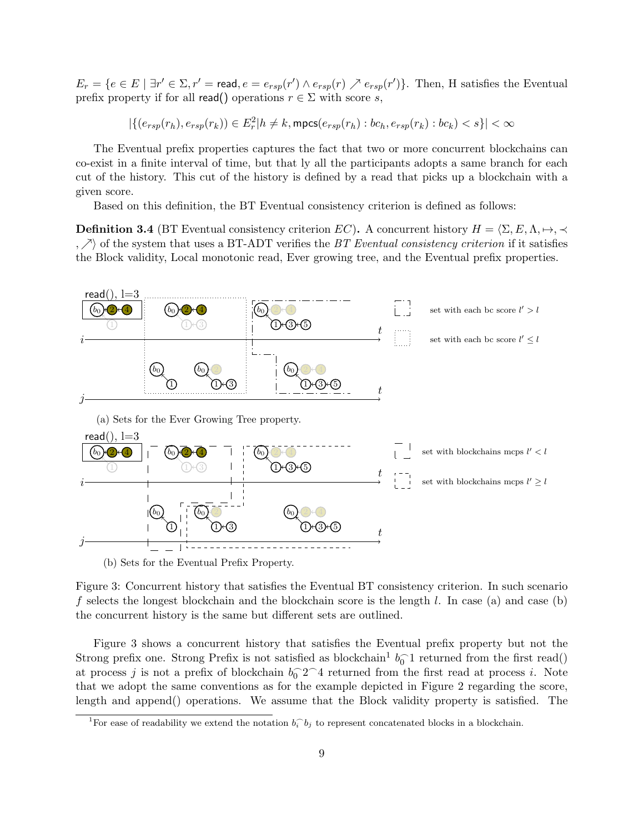$E_r = \{e \in E \mid \exists r' \in \Sigma, r' = \text{read}, e = e_{rsp}(r') \land e_{rsp}(r) \nearrow e_{rsp}(r')\}.$  Then, H satisfies the Eventual prefix property if for all read() operations  $r \in \Sigma$  with score s,

 $|\{(e_{rsp}(r_h),e_{rsp}(r_k))\in E_r^2| h\neq k, \mathsf{mpcs}(e_{rsp}(r_h):bc_h,e_{rsp}(r_k):bc_k)$ 

The Eventual prefix properties captures the fact that two or more concurrent blockchains can co-exist in a finite interval of time, but that ly all the participants adopts a same branch for each cut of the history. This cut of the history is defined by a read that picks up a blockchain with a given score.

Based on this definition, the BT Eventual consistency criterion is defined as follows:

**Definition 3.4** (BT Eventual consistency criterion EC). A concurrent history  $H = \langle \Sigma, E, \Lambda, \mapsto, \prec$ ,  $\nearrow$  of the system that uses a BT-ADT verifies the *BT Eventual consistency criterion* if it satisfies the Block validity, Local monotonic read, Ever growing tree, and the Eventual prefix properties.



(b) Sets for the Eventual Prefix Property.

Figure 3: Concurrent history that satisfies the Eventual BT consistency criterion. In such scenario f selects the longest blockchain and the blockchain score is the length  $l$ . In case (a) and case (b) the concurrent history is the same but different sets are outlined.

Figure 3 shows a concurrent history that satisfies the Eventual prefix property but not the Strong prefix one. Strong Prefix is not satisfied as blockchain<sup>1</sup>  $b_0^-$ 1 returned from the first read() at process j is not a prefix of blockchain  $b_0^{\frown}2^{\frown}4$  returned from the first read at process i. Note that we adopt the same conventions as for the example depicted in Figure 2 regarding the score, length and append() operations. We assume that the Block validity property is satisfied. The

<sup>&</sup>lt;sup>1</sup>For ease of readability we extend the notation  $b_i^{\frown} b_j$  to represent concatenated blocks in a blockchain.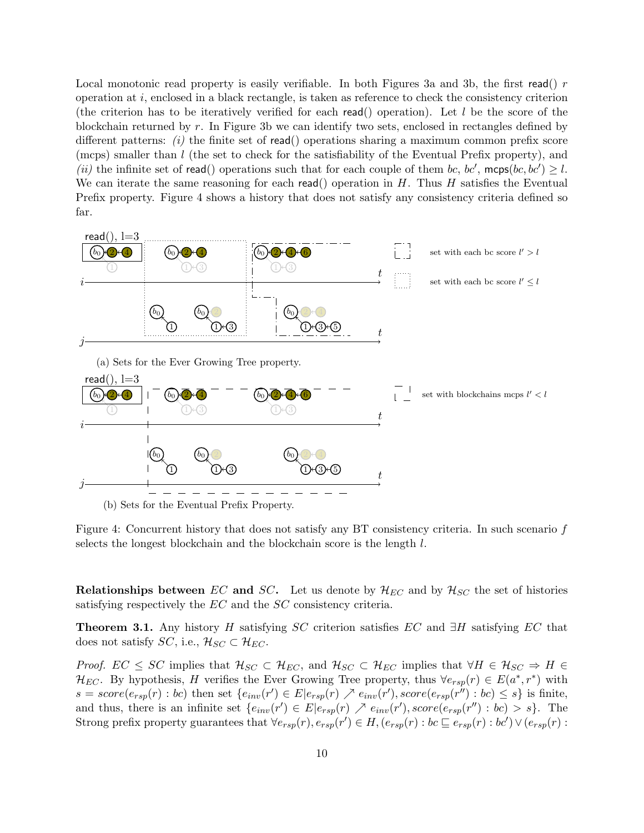Local monotonic read property is easily verifiable. In both Figures 3a and 3b, the first read()  $r$ operation at i, enclosed in a black rectangle, is taken as reference to check the consistency criterion (the criterion has to be iteratively verified for each read() operation). Let  $l$  be the score of the blockchain returned by  $r$ . In Figure 3b we can identify two sets, enclosed in rectangles defined by different patterns: (i) the finite set of read() operations sharing a maximum common prefix score (mcps) smaller than l (the set to check for the satisfiability of the Eventual Prefix property), and (ii) the infinite set of read() operations such that for each couple of them bc, bc',  $mcp$ s(bc, bc')  $\geq l$ . We can iterate the same reasoning for each read() operation in  $H$ . Thus  $H$  satisfies the Eventual Prefix property. Figure 4 shows a history that does not satisfy any consistency criteria defined so far.



(b) Sets for the Eventual Prefix Property.

Figure 4: Concurrent history that does not satisfy any BT consistency criteria. In such scenario f selects the longest blockchain and the blockchain score is the length l.

**Relationships between** EC and SC. Let us denote by  $\mathcal{H}_{EC}$  and by  $\mathcal{H}_{SC}$  the set of histories satisfying respectively the EC and the SC consistency criteria.

**Theorem 3.1.** Any history H satisfying SC criterion satisfies EC and  $\exists H$  satisfying EC that does not satisfy  $SC$ , i.e.,  $\mathcal{H}_{SC} \subset \mathcal{H}_{EC}$ .

*Proof.*  $EC \leq SC$  implies that  $\mathcal{H}_{SC} \subset \mathcal{H}_{EC}$ , and  $\mathcal{H}_{SC} \subset \mathcal{H}_{EC}$  implies that  $\forall H \in \mathcal{H}_{SC} \Rightarrow H \in$  $\mathcal{H}_{EC}$ . By hypothesis, H verifies the Ever Growing Tree property, thus  $\forall e_{rsp}(r) \in E(a^*, r^*)$  with  $s = score(e_{rsp}(r) : bc)$  then set  $\{e_{inv}(r') \in E | e_{rsp}(r) \nearrow e_{inv}(r')$ ,  $score(e_{rsp}(r'') : bc) \leq s\}$  is finite, and thus, there is an infinite set  $\{e_{inv}(r') \in E | e_{rsp}(r) \nearrow e_{inv}(r')$ , score $(e_{rsp}(r'') : bc) > s\}$ . The Strong prefix property guarantees that  $\forall e_{rsp}(r), e_{rsp}(r') \in H$ ,  $(e_{rsp}(r) : bc \sqsubseteq e_{rsp}(r) : bc') \vee (e_{rsp}(r) : bc')$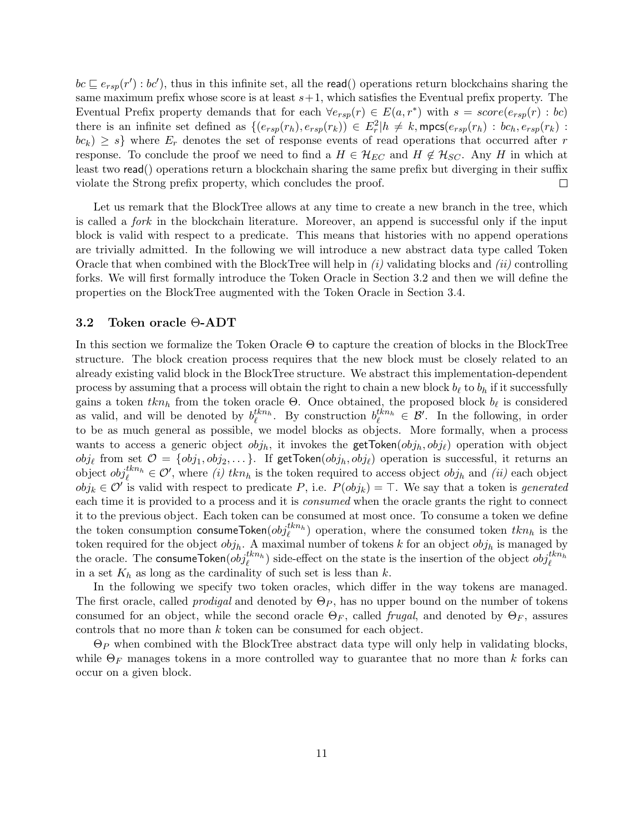$bc \sqsubseteq e_{rsp}(r') : bc'$ , thus in this infinite set, all the read() operations return blockchains sharing the same maximum prefix whose score is at least  $s+1$ , which satisfies the Eventual prefix property. The Eventual Prefix property demands that for each  $\forall e_{rsp}(r) \in E(a,r^*)$  with  $s = score(e_{rsp}(r) : bc)$ there is an infinite set defined as  $\{(e_{rsp}(r_h), e_{rsp}(r_k)) \in E_r^2 | h \neq k, \text{mpcs}(e_{rsp}(r_h) : bc_h, e_{rsp}(r_k)$ :  $bc_k$ )  $\geq s$  where  $E_r$  denotes the set of response events of read operations that occurred after r response. To conclude the proof we need to find a  $H \in \mathcal{H}_{EC}$  and  $H \notin \mathcal{H}_{SC}$ . Any H in which at least two read() operations return a blockchain sharing the same prefix but diverging in their suffix violate the Strong prefix property, which concludes the proof.  $\Box$ 

Let us remark that the BlockTree allows at any time to create a new branch in the tree, which is called a fork in the blockchain literature. Moreover, an append is successful only if the input block is valid with respect to a predicate. This means that histories with no append operations are trivially admitted. In the following we will introduce a new abstract data type called Token Oracle that when combined with the BlockTree will help in  $(i)$  validating blocks and  $(ii)$  controlling forks. We will first formally introduce the Token Oracle in Section 3.2 and then we will define the properties on the BlockTree augmented with the Token Oracle in Section 3.4.

#### 3.2 Token oracle Θ-ADT

In this section we formalize the Token Oracle  $\Theta$  to capture the creation of blocks in the BlockTree structure. The block creation process requires that the new block must be closely related to an already existing valid block in the BlockTree structure. We abstract this implementation-dependent process by assuming that a process will obtain the right to chain a new block  $b_\ell$  to  $b_h$  if it successfully gains a token  $tkn_h$  from the token oracle  $\Theta$ . Once obtained, the proposed block  $b_\ell$  is considered as valid, and will be denoted by  $b_{\ell}^{tkn_h}$ . By construction  $b_{\ell}^{tkn_h} \in \mathcal{B}'$ . In the following, in order to be as much general as possible, we model blocks as objects. More formally, when a process wants to access a generic object  $obj_h$ , it invokes the getToken $(obj_h, obj_\ell)$  operation with object  $obj_\ell$  from set  $\mathcal{O} = \{obj_1, obj_2, \dots\}$ . If getToken $(obj_h, obj_\ell)$  operation is successful, it returns an object  $obj_{\ell}^{kkn_h} \in \mathcal{O}'$ , where *(i)*  $kkn_h$  is the token required to access object  $obj_h$  and *(ii)* each object  $obj_k \in \mathcal{O}'$  is valid with respect to predicate P, i.e.  $P(obj_k) = \top$ . We say that a token is generated each time it is provided to a process and it is *consumed* when the oracle grants the right to connect it to the previous object. Each token can be consumed at most once. To consume a token we define the token consumption consumeToken $(obj_{\ell}^{tkn_h})$  operation, where the consumed token  $tkn_h$  is the token required for the object  $obj_h$ . A maximal number of tokens k for an object  $obj_h$  is managed by the oracle. The consumeToken $(obj_{\ell}^{tkn_h})$  side-effect on the state is the insertion of the object  $obj_{\ell}^{tkn_h}$ in a set  $K_h$  as long as the cardinality of such set is less than k.

In the following we specify two token oracles, which differ in the way tokens are managed. The first oracle, called *prodigal* and denoted by  $\Theta_P$ , has no upper bound on the number of tokens consumed for an object, while the second oracle  $\Theta_F$ , called *frugal*, and denoted by  $\Theta_F$ , assures controls that no more than k token can be consumed for each object.

 $\Theta_P$  when combined with the BlockTree abstract data type will only help in validating blocks, while  $\Theta_F$  manages tokens in a more controlled way to guarantee that no more than k forks can occur on a given block.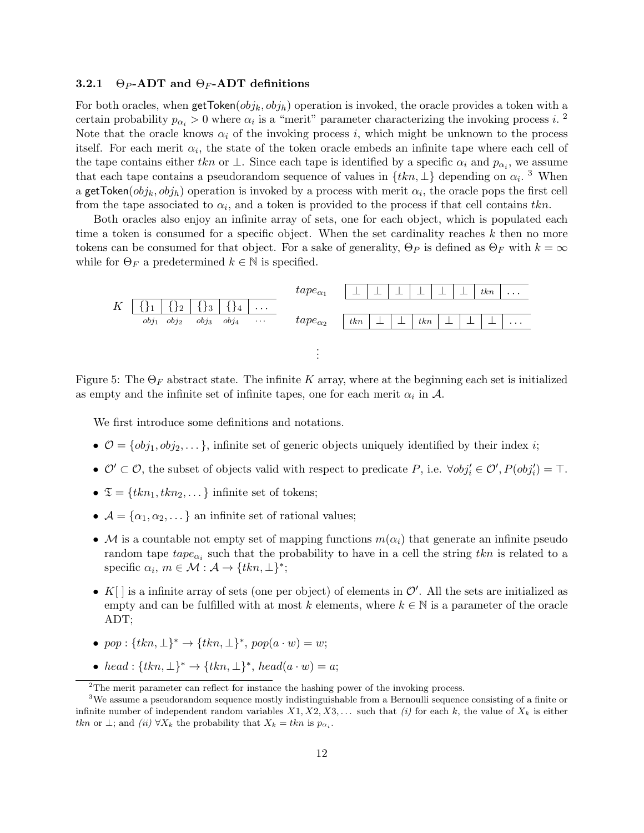#### 3.2.1  $\Theta_P$ -ADT and  $\Theta_F$ -ADT definitions

For both oracles, when  $\text{getToken}(obj_k, obj_h)$  operation is invoked, the oracle provides a token with a certain probability  $p_{\alpha_i} > 0$  where  $\alpha_i$  is a "merit" parameter characterizing the invoking process i.<sup>2</sup> Note that the oracle knows  $\alpha_i$  of the invoking process i, which might be unknown to the process itself. For each merit  $\alpha_i$ , the state of the token oracle embeds an infinite tape where each cell of the tape contains either tkn or  $\perp$ . Since each tape is identified by a specific  $\alpha_i$  and  $p_{\alpha_i}$ , we assume that each tape contains a pseudorandom sequence of values in  $\{tkn, \perp\}$  depending on  $\alpha_i$ .<sup>3</sup> When a getToken $(obj_k, obj_h)$  operation is invoked by a process with merit  $\alpha_i$ , the oracle pops the first cell from the tape associated to  $\alpha_i$ , and a token is provided to the process if that cell contains  $tkn$ .

Both oracles also enjoy an infinite array of sets, one for each object, which is populated each time a token is consumed for a specific object. When the set cardinality reaches  $k$  then no more tokens can be consumed for that object. For a sake of generality,  $\Theta_P$  is defined as  $\Theta_F$  with  $k = \infty$ while for  $\Theta_F$  a predetermined  $k \in \mathbb{N}$  is specified.



Figure 5: The  $\Theta_F$  abstract state. The infinite K array, where at the beginning each set is initialized as empty and the infinite set of infinite tapes, one for each merit  $\alpha_i$  in  $\mathcal{A}$ .

We first introduce some definitions and notations.

- $\mathcal{O} = \{obj_1, obj_2, \dots\}$ , infinite set of generic objects uniquely identified by their index *i*;
- $\mathcal{O}' \subset \mathcal{O}$ , the subset of objects valid with respect to predicate P, i.e.  $\forall obj_i' \in \mathcal{O}', P(obj_i') = \top$ .
- $\mathfrak{T} = \{tkn_1, tkn_2, \dots\}$  infinite set of tokens;
- $\mathcal{A} = {\alpha_1, \alpha_2, \ldots}$  an infinite set of rational values;
- M is a countable not empty set of mapping functions  $m(\alpha_i)$  that generate an infinite pseudo random tape  $\text{tape}_{\alpha_i}$  such that the probability to have in a cell the string  $\text{tkn}$  is related to a specific  $\alpha_i, m \in \mathcal{M} : \mathcal{A} \to \{tkn, \perp\}^*;$
- $K[\ ]$  is a infinite array of sets (one per object) of elements in  $\mathcal{O}'$ . All the sets are initialized as empty and can be fulfilled with at most k elements, where  $k \in \mathbb{N}$  is a parameter of the oracle ADT;
- pop :  $\{tkn, \perp\}^* \rightarrow \{tkn, \perp\}^*$ , pop $(a \cdot w) = w$ ;
- head :  $\{tkn, \perp\}^* \rightarrow \{tkn, \perp\}^*$ , head $(a \cdot w) = a$ ;

 $2$ The merit parameter can reflect for instance the hashing power of the invoking process.

<sup>&</sup>lt;sup>3</sup>We assume a pseudorandom sequence mostly indistinguishable from a Bernoulli sequence consisting of a finite or infinite number of independent random variables  $X_1, X_2, X_3, \ldots$  such that (i) for each k, the value of  $X_k$  is either tkn or  $\perp$ ; and  $(ii) \forall X_k$  the probability that  $X_k = tkn$  is  $p_{\alpha_i}$ .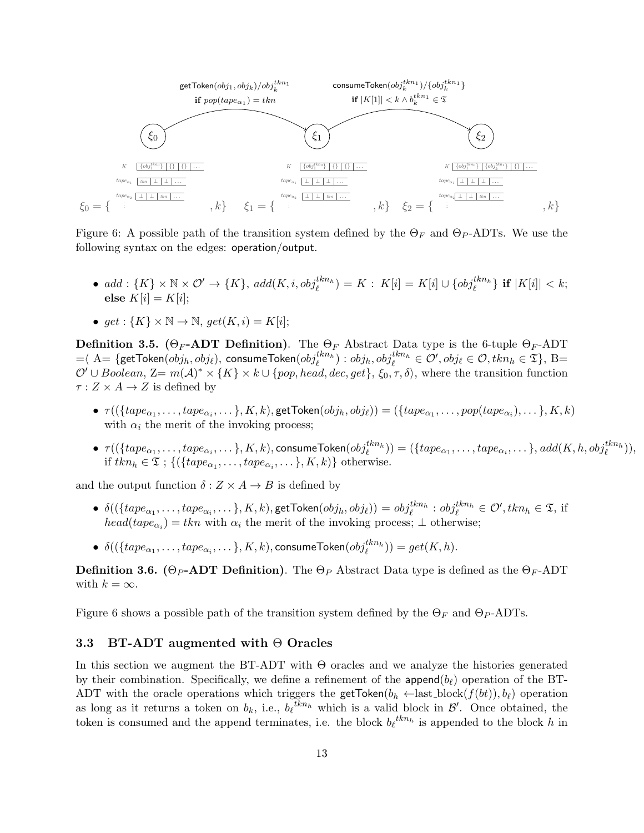

Figure 6: A possible path of the transition system defined by the  $\Theta_F$  and  $\Theta_P$ -ADTs. We use the following syntax on the edges: operation/output.

•  $add: \{K\} \times \mathbb{N} \times \mathcal{O}' \rightarrow \{K\}, add(K, i, obj_{\ell}^{tkn_h}) = K: K[i] = K[i] \cup \{obj_{\ell}^{tkn_h}\}\$ if  $|K[i]| < k;$ else  $K[i] = K[i]$ ;

• 
$$
get: \{K\} \times \mathbb{N} \to \mathbb{N}, get(K, i) = K[i];
$$

**Definition 3.5.** (Θ<sub>F</sub>-ADT Definition). The  $\Theta_F$  Abstract Data type is the 6-tuple  $\Theta_F$ -ADT  $=\infty \ A=\{\textsf{getToken}(obj_h, obj_\ell), \ \textsf{cosumeToken}(obj_\ell^{tkn_h}) : obj_h, obj_\ell^{tkn_h} \in \mathcal{O}', obj_\ell \in \mathcal{O}, tkn_h \in \mathfrak{T}\}, \ \mathrm{B}=\emptyset$  $\mathcal{O}' \cup Boolean$ ,  $\mathbb{Z}=m(\mathcal{A})^* \times \{K\} \times k \cup \{pop, head, dec, get\}$ ,  $\xi_0, \tau, \delta$ , where the transition function  $\tau : Z \times A \rightarrow Z$  is defined by

- $\bullet$   $\tau((\{tape_{\alpha_1}, \ldots, tape_{\alpha_i}, \ldots\}, K, k),$  getToken $(obj_h, obj_\ell)) = (\{ tape_{\alpha_1}, \ldots, pop(tape_{\alpha_i}), \ldots\}, K, k)$ with  $\alpha_i$  the merit of the invoking process;
- $\bullet$   $\tau((\{tape_{\alpha_1}, \ldots, tape_{\alpha_i}, \ldots\}, K, k), \text{cosumeToken}(obj^{tkn_h}_{\ell})) = (\{ tape_{\alpha_1}, \ldots, tape_{\alpha_i}, \ldots\}, add(K, h, obj^{tkn_h}_{\ell})),$ if  $tkn_h \in \mathfrak{T}$ ; { $({\lbrace tape_{\alpha_1}, \ldots, tape_{\alpha_i}, \ldots \rbrace}, K, k)$ } otherwise.

and the output function  $\delta: Z \times A \rightarrow B$  is defined by

- $\bullet \; \delta((\{ tape_{\alpha_1}, \ldots, tape_{\alpha_i}, \ldots \}, K, k),$ getToken $(obj_h, obj_\ell)) = obj_\ell^{tkn_h} : obj_\ell^{tkn_h} \in \mathcal{O}', tkn_h \in \mathfrak{T}, \text{ if}$  $head(tape_{\alpha_i}) = tkn$  with  $\alpha_i$  the merit of the invoking process;  $\perp$  otherwise;
- $\bullet \ \ \delta((\{ tape_{\alpha_1}, \ldots, tape_{\alpha_i}, \ldots \}, K, k), \text{cosumeToken}(obj^{tkn_h}_\ell)) = get(K, h).$

**Definition 3.6.** (Θ<sub>P</sub>-ADT Definition). The  $\Theta_P$  Abstract Data type is defined as the  $\Theta_F$ -ADT with  $k = \infty$ .

Figure 6 shows a possible path of the transition system defined by the  $\Theta_F$  and  $\Theta_P$ -ADTs.

## 3.3 BT-ADT augmented with Θ Oracles

In this section we augment the BT-ADT with Θ oracles and we analyze the histories generated by their combination. Specifically, we define a refinement of the append $(b_{\ell})$  operation of the BT-ADT with the oracle operations which triggers the getToken $(b_h \leftarrow$ last\_block $(f(bt)), b_\ell)$  operation as long as it returns a token on  $b_k$ , i.e.,  $b_\ell{}^{tkn_h}$  which is a valid block in  $\mathcal{B}'$ . Once obtained, the token is consumed and the append terminates, i.e. the block  $b_{\ell}^{thn}$  is appended to the block h in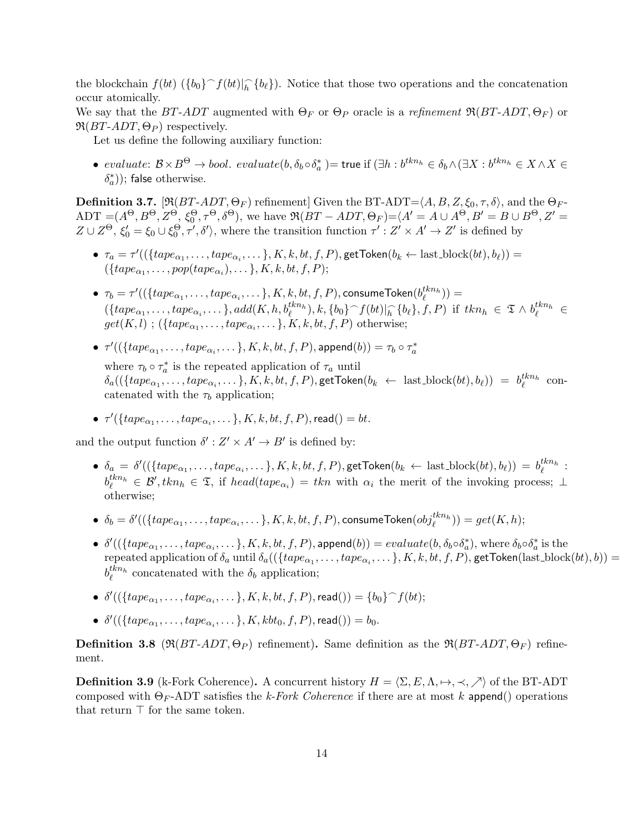the blockchain  $f(bt)$   $(\{b_0\} \cap f(bt)|_h^{\frown} \{b_\ell\})$ . Notice that those two operations and the concatenation occur atomically.

We say that the BT-ADT augmented with  $\Theta_F$  or  $\Theta_P$  oracle is a refinement  $\Re(BT-ADT, \Theta_F)$  or  $\mathfrak{R}(BT\text{-}ADT,\Theta_P)$  respectively.

Let us define the following auxiliary function:

 $\bullet\; \; evaluate\colon\mathcal{B}\times B^{\Theta}\to bool. \; \; evaluate (b,\delta_b\circ \delta_a^*)=\textsf{true} \; \text{if} \; (\exists h:b^{thn_h}\in \delta_b \wedge (\exists X:b^{thn_h}\in X\wedge X\in \mathcal{A})\; \text{if} \; k\in \mathcal{A}\setminus B^{\Theta}$  $(\delta_a^*))$ ; false otherwise.

**Definition 3.7.** [ $\mathfrak{R}(BT-ADT, \Theta_F)$  refinement] Given the BT-ADT= $\langle A, B, Z, \xi_0, \tau, \delta \rangle$ , and the  $\Theta_F$ - $ADT = (A^{\Theta}, B^{\Theta}, Z^{\Theta}, \xi_0^{\Theta}, \tau^{\Theta}, \delta^{\Theta}),$  we have  $\Re(BT - ADT, \Theta_F) = \langle A^{\prime} = A \cup A^{\Theta}, B^{\prime} = B \cup B^{\Theta}, Z^{\prime} = A^{\prime}$  $Z \cup Z^{\Theta}, \xi_0' = \xi_0 \cup \xi_0^{\Theta}, \tau', \delta'$ , where the transition function  $\tau' : Z' \times A' \to Z'$  is defined by

- $\bullet \ \tau_a = \tau'((\{ tape_{\alpha_1}, \ldots, tape_{\alpha_i}, \ldots\}, K, k, bt, f, P),$ getToken $(b_k \leftarrow \text{last\_block}(bt), b_\ell)) =$  $({\{tape_{\alpha_1}, \ldots, pop(tape_{\alpha_i}), \ldots\}, K, k, bt, f, P});$
- $\bullet \ \ \tau_b=\tau'((\{tape_{\alpha_1},\ldots,tape_{\alpha_i},\ldots\},K,k,bt,f,P),$ consumeToken $(b_{\ell}^{tkn_h}))=$  $(\{ tape_{\alpha_1}, \ldots, tape_{\alpha_i}, \ldots \}, add(K, h, b_{\ell}^{kkn_h}), k, \{b_0\} \cap f(bt)|_h \cap \{b_{\ell}\}, f, P)$  if  $tkn_h \in \mathfrak{T} \wedge b_{\ell}^{kkn_h} \in$  $get(K, l)$ ;  $({\{ tape_{\alpha_1}, \ldots, tape_{\alpha_i}, \ldots\}, K, k, bt, f, P})$  otherwise;
- $\bullet \ \tau'((\{tape_{\alpha_1}, \ldots, tape_{\alpha_i}, \ldots\}, K, k, bt, f, P), \mathsf{append}(b)) = \tau_b \circ \tau_a^*$ where  $\tau_b \circ \tau_a^*$  is the repeated application of  $\tau_a$  until  $\delta_a((\{tape_{\alpha_1}, \ldots, tape_{\alpha_i}, \ldots\}, K, k, bt, f, P),$ getToken $(b_k \leftarrow \text{ last-block}(bt), b_\ell)) = b_\ell^{tkn_h}$  concatenated with the  $\tau_b$  application;
- $\bullet \ \tau'(\{ tape_{\alpha_1}, \ldots, tape_{\alpha_i}, \ldots \}, K, k, bt, f, P), \mathsf{read}() = bt.$

and the output function  $\delta' : Z' \times A' \to B'$  is defined by:

- $\bullet$   $\delta_a = \delta'((\{tape_{\alpha_1}, \ldots, tape_{\alpha_i}, \ldots\}, K, k, bt, f, P),$ getToken $(b_k \leftarrow \text{last\_block}(bt), b_\ell)) = b_\ell^{tkn_h}$ :  $b_{\ell}^{kkn_h} \in \mathcal{B}',$   $kkn_h \in \mathcal{I},$  if  $head(tape_{\alpha_i}) = kkn$  with  $\alpha_i$  the merit of the invoking process;  $\perp$ otherwise;
- $\bullet \ \ \delta_b = \delta'((\{ tape_{\alpha_1}, \ldots, tape_{\alpha_i}, \ldots \}, K, k, bt, f, P), \text{cosumeToken}(obj^{tkn_h}_\ell)) = get(K, h);$
- $\delta'((\{\text{tape}_{\alpha_1},\ldots,\text{tape}_{\alpha_i},\ldots\},K,k,\text{bt},f,P),\text{append}(b)) = \text{evaluate}(b,\delta_b \circ \delta_a^*)$ , where  $\delta_b \circ \delta_a^*$  is the repeated application of  $\delta_a$  until  $\delta_a((\{\text{tape}_{\alpha_1},\ldots,\text{tape}_{\alpha_i},\ldots\},K,k,bt,f,P),$  getToken $(\text{last-block}(bt),b))$  =  $b_{\ell}^{thn}$  concatenated with the  $\delta_b$  application;
- $\bullet \ \ \delta'((\{tape_{\alpha_1}, \ldots, tape_{\alpha_i}, \ldots\}, K, k, bt, f, P), \mathsf{read}()) = \{b_0\}^{\frown} f(bt);$
- $\bullet \ \ \delta'((\{tape_{\alpha_1}, \ldots, tape_{\alpha_i}, \ldots\}, K, kbt_0, f, P), \mathsf{read}()) = b_0.$

**Definition 3.8** ( $\Re(BT-ADT, \Theta_P)$  refinement). Same definition as the  $\Re(BT-ADT, \Theta_F)$  refinement.

**Definition 3.9** (k-Fork Coherence). A concurrent history  $H = \langle \Sigma, E, \Lambda, \mapsto, \prec, \nearrow \rangle$  of the BT-ADT composed with  $\Theta_F$ -ADT satisfies the k-Fork Coherence if there are at most k append() operations that return  $\top$  for the same token.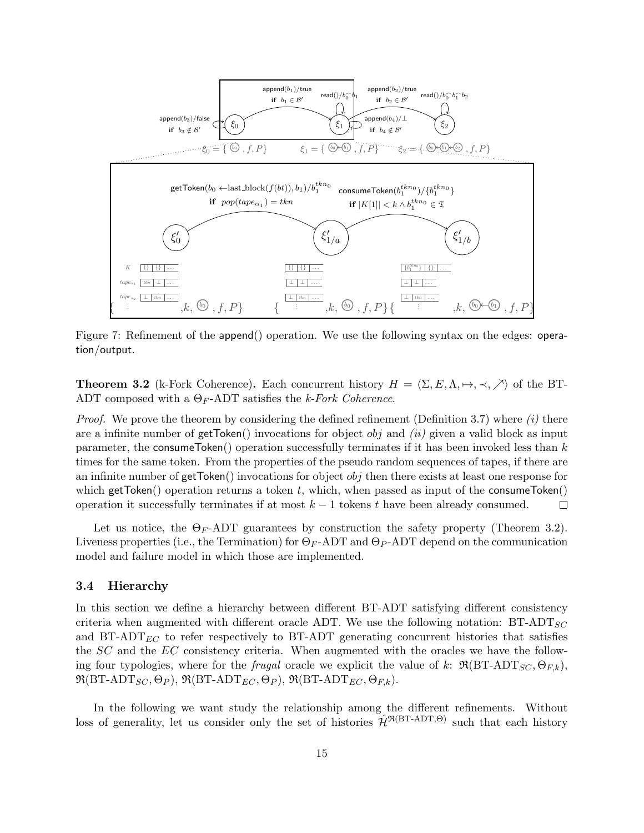

Figure 7: Refinement of the append() operation. We use the following syntax on the edges: operation/output.

**Theorem 3.2** (k-Fork Coherence). Each concurrent history  $H = \langle \Sigma, E, \Lambda, \mapsto, \prec, \nearrow \rangle$  of the BT-ADT composed with a  $\Theta_F$ -ADT satisfies the k-Fork Coherence.

*Proof.* We prove the theorem by considering the defined refinement (Definition 3.7) where  $(i)$  there are a infinite number of  $getToken()$  invocations for object *obj* and *(ii)* given a valid block as input parameter, the consumeToken() operation successfully terminates if it has been invoked less than  $k$ times for the same token. From the properties of the pseudo random sequences of tapes, if there are an infinite number of  $getToken()$  invocations for object  $obj$  then there exists at least one response for which getToken() operation returns a token t, which, when passed as input of the consumeToken() operation it successfully terminates if at most  $k - 1$  tokens t have been already consumed.  $\Box$ 

Let us notice, the  $\Theta_F$ -ADT guarantees by construction the safety property (Theorem 3.2). Liveness properties (i.e., the Termination) for  $\Theta_F$ -ADT and  $\Theta_P$ -ADT depend on the communication model and failure model in which those are implemented.

#### 3.4 Hierarchy

In this section we define a hierarchy between different BT-ADT satisfying different consistency criteria when augmented with different oracle ADT. We use the following notation:  $BT-ADT_{SC}$ and  $BT-ADT_{EC}$  to refer respectively to  $BT-ADT$  generating concurrent histories that satisfies the SC and the EC consistency criteria. When augmented with the oracles we have the following four typologies, where for the *frugal* oracle we explicit the value of k:  $\Re(BT-ADT_{SC}, \Theta_{FE}),$  $\mathfrak{R}(\text{BT-ADT}_{SC}, \Theta_P)$ ,  $\mathfrak{R}(\text{BT-ADT}_{EC}, \Theta_P)$ ,  $\mathfrak{R}(\text{BT-ADT}_{EC}, \Theta_{F,k})$ .

In the following we want study the relationship among the different refinements. Without loss of generality, let us consider only the set of histories  $\hat{\mathcal{H}}^{\Re(BT-ADT,\Theta)}$  such that each history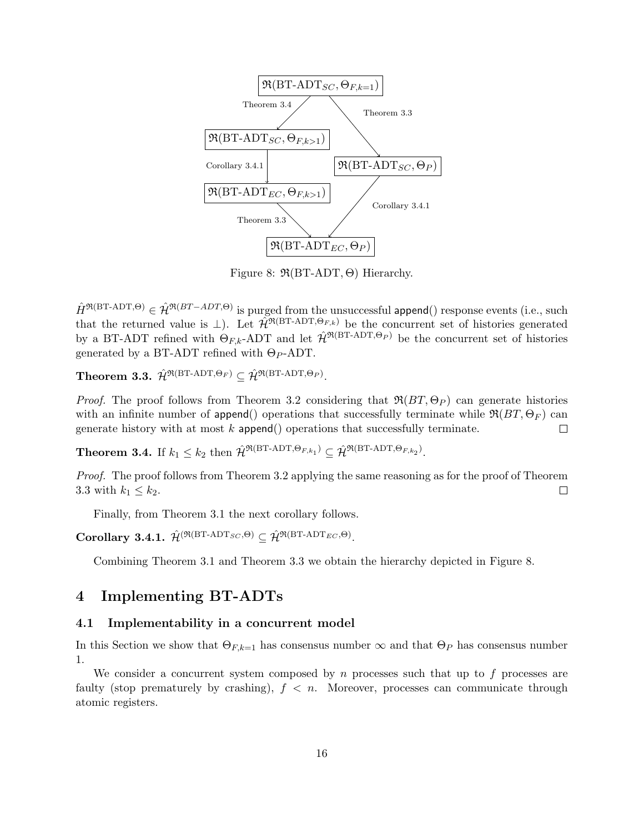

Figure 8:  $\mathfrak{R}(BT-ADT,\Theta)$  Hierarchy.

 $\hat{H}^{\Re(\text{BT-ADT},\Theta)} \in \hat{\mathcal{H}}^{\Re(BT-ADT,\Theta)}$  is purged from the unsuccessful append() response events (i.e., such that the returned value is  $\perp$ ). Let  $\hat{\mathcal{H}}^{\mathfrak{R}(BT-ADT,\Theta_{F,k})}$  be the concurrent set of histories generated by a BT-ADT refined with  $\Theta_{F,k}$ -ADT and let  $\hat{\mathcal{H}}^{\Re(BT-ADT,\Theta_P)}$  be the concurrent set of histories generated by a BT-ADT refined with  $\Theta_P$ -ADT.

Theorem 3.3.  $\hat{\mathcal{H}}^{\mathfrak{R}(\text{BT-ADT},\Theta_F)} \subseteq \hat{\mathcal{H}}^{\mathfrak{R}(\text{BT-ADT},\Theta_P)}.$ 

*Proof.* The proof follows from Theorem 3.2 considering that  $\Re(BT, \Theta_P)$  can generate histories with an infinite number of append() operations that successfully terminate while  $\Re(BT, \Theta_F)$  can generate history with at most  $k$  append() operations that successfully terminate.  $\Box$ 

**Theorem 3.4.** If  $k_1 \leq k_2$  then  $\hat{\mathcal{H}}^{\Re(\text{BT-ADT},\Theta_{F,k_1})} \subseteq \hat{\mathcal{H}}^{\Re(\text{BT-ADT},\Theta_{F,k_2})}$ .

Proof. The proof follows from Theorem 3.2 applying the same reasoning as for the proof of Theorem 3.3 with  $k_1 \leq k_2$ .  $\Box$ 

Finally, from Theorem 3.1 the next corollary follows.

Corollary 3.4.1.  $\hat{\mathcal{H}}^{(\Re(\text{BT-ADT}_{SC}, \Theta)} \subseteq \hat{\mathcal{H}}^{\Re(\text{BT-ADT}_{EC}, \Theta)}.$ 

Combining Theorem 3.1 and Theorem 3.3 we obtain the hierarchy depicted in Figure 8.

## 4 Implementing BT-ADTs

## 4.1 Implementability in a concurrent model

In this Section we show that  $\Theta_{F,k=1}$  has consensus number  $\infty$  and that  $\Theta_P$  has consensus number 1.

We consider a concurrent system composed by n processes such that up to  $f$  processes are faulty (stop prematurely by crashing),  $f < n$ . Moreover, processes can communicate through atomic registers.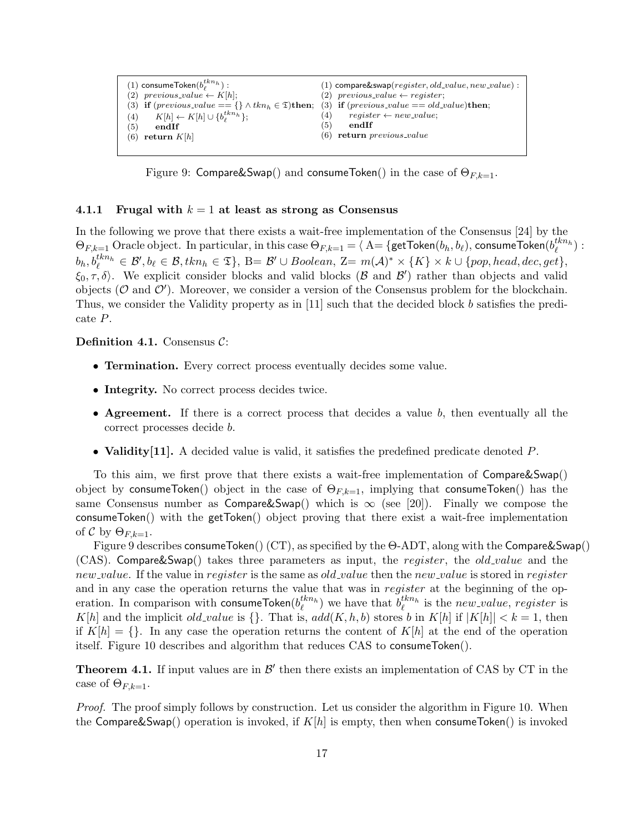

Figure 9: Compare&Swap() and consumeToken() in the case of  $\Theta_{F,k=1}$ .

#### 4.1.1 Frugal with  $k = 1$  at least as strong as Consensus

In the following we prove that there exists a wait-free implementation of the Consensus [24] by the  $\Theta_{F,k=1}$  Oracle object. In particular, in this case  $\Theta_{F,k=1}=\overline{\Theta_{A}}=\{\textsf{getToken}(b_h,b_\ell), \textsf{cosumeToken}(b_k^{tkn_h})\}$  $b_h, b_\ell^{thn_h} \in \mathcal{B}', b_\ell \in \mathcal{B}, tkn_h \in \mathfrak{T} \}, \ \mathrm{B}= \mathcal{B}' \cup Boolean, \ \mathrm{Z}=m(\mathcal{A})^* \times \{K\} \times k \cup \{pop, head, dec, get\},$  $\xi_0, \tau, \delta$ . We explicit consider blocks and valid blocks ( $\beta$  and  $\beta'$ ) rather than objects and valid objects ( $\mathcal O$  and  $\mathcal O'$ ). Moreover, we consider a version of the Consensus problem for the blockchain. Thus, we consider the Validity property as in [11] such that the decided block b satisfies the predicate P.

### Definition 4.1. Consensus  $C$ :

- Termination. Every correct process eventually decides some value.
- Integrity. No correct process decides twice.
- **Agreement.** If there is a correct process that decides a value b, then eventually all the correct processes decide b.
- Validity [11]. A decided value is valid, it satisfies the predefined predicate denoted P.

To this aim, we first prove that there exists a wait-free implementation of Compare&Swap() object by consumeToken() object in the case of  $\Theta_{F,k=1}$ , implying that consumeToken() has the same Consensus number as  $Compare&Swap()$  which is  $\infty$  (see [20]). Finally we compose the consumeToken() with the getToken() object proving that there exist a wait-free implementation of C by  $\Theta_{F,k=1}$ .

Figure 9 describes consumeToken() (CT), as specified by the Θ-ADT, along with the Compare&Swap() (CAS). Compare&Swap() takes three parameters as input, the *register*, the *old\_value* and the new value. If the value in register is the same as  $old_value$  then the new value is stored in register and in any case the operation returns the value that was in register at the beginning of the operation. In comparison with consumeToken $(b_{\ell}^{tkn_h})$  we have that  $b_{\ell}^{tkn_h}$  is the  $new\_value$ , register is K[h] and the implicit old value is  $\{\}$ . That is,  $add(K, h, b)$  stores b in K[h] if  $|K[h]| < k = 1$ , then if  $K[h] = \{\}$ . In any case the operation returns the content of  $K[h]$  at the end of the operation itself. Figure 10 describes and algorithm that reduces CAS to consumeToken().

**Theorem 4.1.** If input values are in  $\mathcal{B}'$  then there exists an implementation of CAS by CT in the case of  $\Theta_{F,k=1}$ .

Proof. The proof simply follows by construction. Let us consider the algorithm in Figure 10. When the Compare&Swap() operation is invoked, if  $K[h]$  is empty, then when consumeToken() is invoked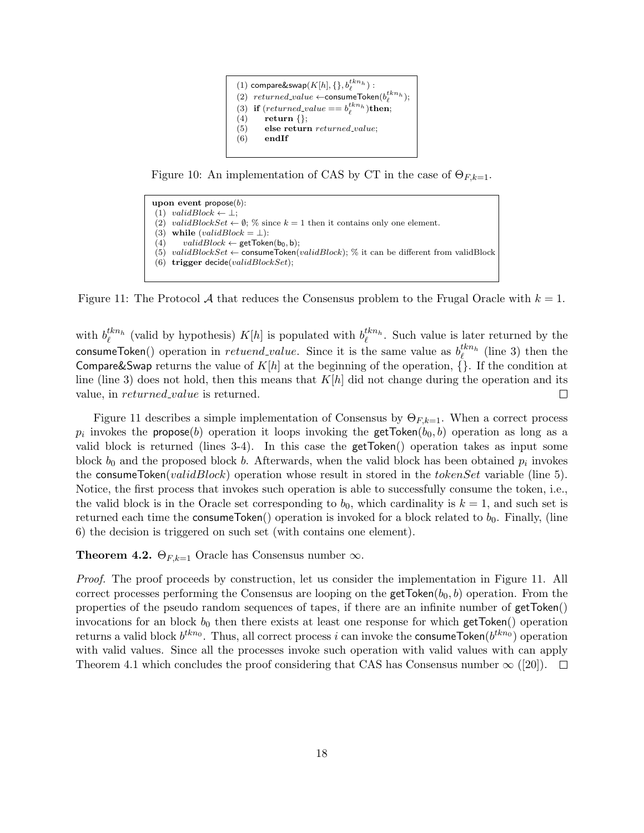

Figure 10: An implementation of CAS by CT in the case of  $\Theta_{F,k=1}$ .

```
upon event propose(b):
(1) validBlock \leftarrow \perp;
(2) validBlockSet \leftarrow \emptyset; % since k = 1 then it contains only one element.
(3) while (valueBlock = \bot):
(4) validBlock \leftarrow getToken(b_0, b);(5) validBlockSet \leftarrow consumeToken(validBlock); % it can be different from validBlock
(6) trigger decide(validBlockSet);
```
Figure 11: The Protocol A that reduces the Consensus problem to the Frugal Oracle with  $k = 1$ .

with  $b_{\ell}^{tkn_h}$  (valid by hypothesis)  $K[h]$  is populated with  $b_{\ell}^{tkn_h}$ . Such value is later returned by the consumeToken() operation in *retuend\_value*. Since it is the same value as  $b_{\ell}^{tkn_h}$  (line 3) then the Compare&Swap returns the value of  $K[h]$  at the beginning of the operation,  $\tilde{\Lambda}$ . If the condition at line (line 3) does not hold, then this means that  $K[h]$  did not change during the operation and its value, in *returned\_value* is returned.  $\Box$ 

Figure 11 describes a simple implementation of Consensus by  $\Theta_{F,k=1}$ . When a correct process  $p_i$  invokes the propose(b) operation it loops invoking the getToken(b<sub>0</sub>,b) operation as long as a valid block is returned (lines 3-4). In this case the getToken() operation takes as input some block  $b_0$  and the proposed block b. Afterwards, when the valid block has been obtained  $p_i$  invokes the consumeToken(validBlock) operation whose result in stored in the tokenSet variable (line 5). Notice, the first process that invokes such operation is able to successfully consume the token, i.e., the valid block is in the Oracle set corresponding to  $b_0$ , which cardinality is  $k = 1$ , and such set is returned each time the consumeToken() operation is invoked for a block related to  $b_0$ . Finally, (line 6) the decision is triggered on such set (with contains one element).

**Theorem 4.2.**  $\Theta_{F,k=1}$  Oracle has Consensus number  $\infty$ .

Proof. The proof proceeds by construction, let us consider the implementation in Figure 11. All correct processes performing the Consensus are looping on the getToken $(b_0, b)$  operation. From the properties of the pseudo random sequences of tapes, if there are an infinite number of getToken() invocations for an block  $b_0$  then there exists at least one response for which getToken() operation returns a valid block  $b^{thn_0}$ . Thus, all correct process i can invoke the consumeToken $(b^{thn_0})$  operation with valid values. Since all the processes invoke such operation with valid values with can apply Theorem 4.1 which concludes the proof considering that CAS has Consensus number  $\infty$  ([20]).  $\Box$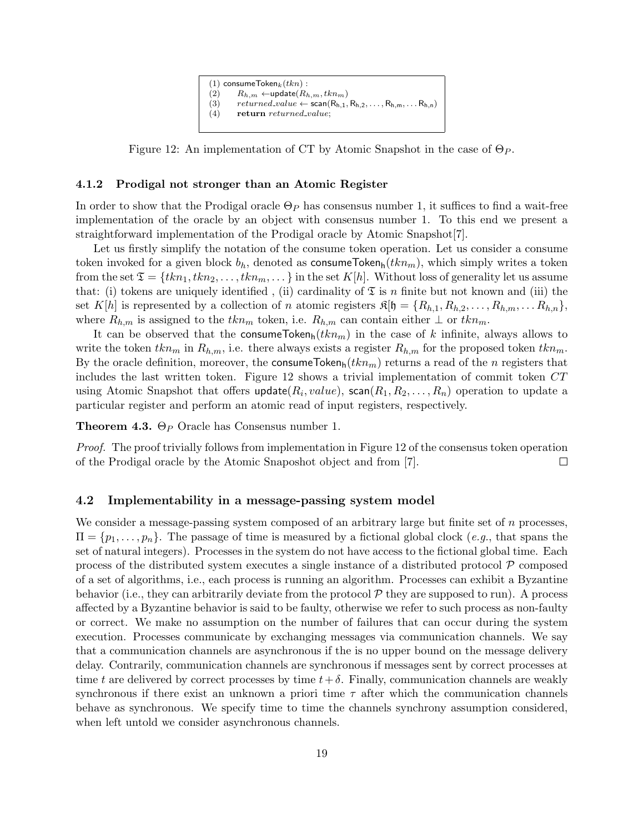

Figure 12: An implementation of CT by Atomic Snapshot in the case of  $\Theta_P$ .

### 4.1.2 Prodigal not stronger than an Atomic Register

In order to show that the Prodigal oracle  $\Theta_P$  has consensus number 1, it suffices to find a wait-free implementation of the oracle by an object with consensus number 1. To this end we present a straightforward implementation of the Prodigal oracle by Atomic Snapshot[7].

Let us firstly simplify the notation of the consume token operation. Let us consider a consume token invoked for a given block  $b_h$ , denoted as consumeToken<sub>h</sub> $(tkn_m)$ , which simply writes a token from the set  $\mathfrak{T} = \{t k n_1, t k n_2, \ldots, t k n_m, \ldots\}$  in the set  $K[h]$ . Without loss of generality let us assume that: (i) tokens are uniquely identified, (ii) cardinality of  $\mathfrak T$  is n finite but not known and (iii) the set K[h] is represented by a collection of n atomic registers  $\mathfrak{K}[\mathfrak{h} = \{R_{h,1}, R_{h,2}, \ldots, R_{h,m}, \ldots R_{h,n}\},$ where  $R_{h,m}$  is assigned to the  $tkn_m$  token, i.e.  $R_{h,m}$  can contain either  $\perp$  or  $tkn_m$ .

It can be observed that the consumeToken $h(tkn_m)$  in the case of k infinite, always allows to write the token  $tkn_m$  in  $R_{h,m}$ , i.e. there always exists a register  $R_{h,m}$  for the proposed token  $tkn_m$ . By the oracle definition, moreover, the consumeTokenh( $tkn_m$ ) returns a read of the n registers that includes the last written token. Figure 12 shows a trivial implementation of commit token  $CT$ using Atomic Snapshot that offers  $\mathsf{update}(R_i, value), \, \mathsf{scan}(R_1, R_2, \ldots, R_n)$  operation to update a particular register and perform an atomic read of input registers, respectively.

**Theorem 4.3.**  $\Theta_P$  Oracle has Consensus number 1.

Proof. The proof trivially follows from implementation in Figure 12 of the consensus token operation of the Prodigal oracle by the Atomic Snaposhot object and from [7].  $\Box$ 

### 4.2 Implementability in a message-passing system model

We consider a message-passing system composed of an arbitrary large but finite set of n processes,  $\Pi = \{p_1, \ldots, p_n\}$ . The passage of time is measured by a fictional global clock (e.g., that spans the set of natural integers). Processes in the system do not have access to the fictional global time. Each process of the distributed system executes a single instance of a distributed protocol  $\mathcal P$  composed of a set of algorithms, i.e., each process is running an algorithm. Processes can exhibit a Byzantine behavior (i.e., they can arbitrarily deviate from the protocol  $P$  they are supposed to run). A process affected by a Byzantine behavior is said to be faulty, otherwise we refer to such process as non-faulty or correct. We make no assumption on the number of failures that can occur during the system execution. Processes communicate by exchanging messages via communication channels. We say that a communication channels are asynchronous if the is no upper bound on the message delivery delay. Contrarily, communication channels are synchronous if messages sent by correct processes at time t are delivered by correct processes by time  $t+\delta$ . Finally, communication channels are weakly synchronous if there exist an unknown a priori time  $\tau$  after which the communication channels behave as synchronous. We specify time to time the channels synchrony assumption considered, when left untold we consider asynchronous channels.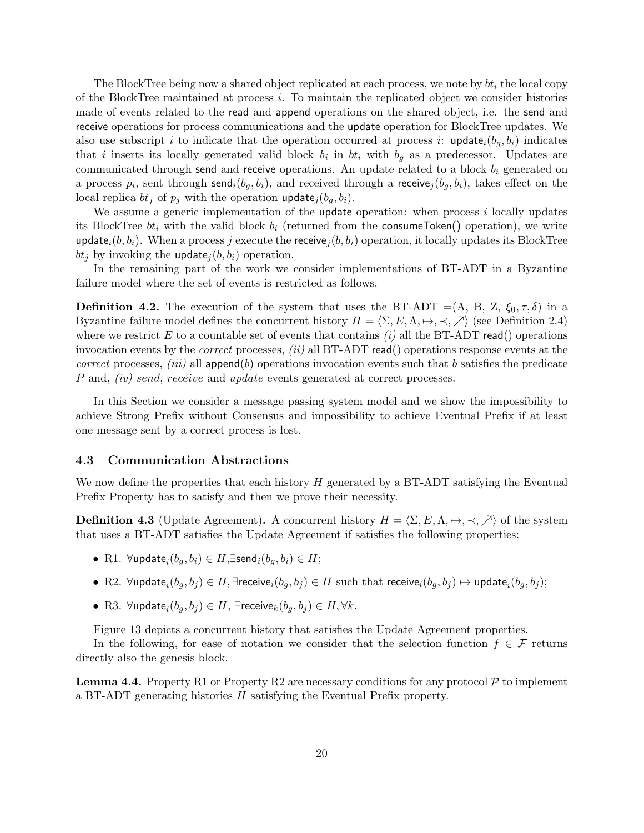The BlockTree being now a shared object replicated at each process, we note by  $bt_i$  the local copy of the BlockTree maintained at process i. To maintain the replicated object we consider histories made of events related to the read and append operations on the shared object, i.e. the send and receive operations for process communications and the update operation for BlockTree updates. We also use subscript i to indicate that the operation occurred at process i: update<sub>i</sub> $(b_q, b_i)$  indicates that i inserts its locally generated valid block  $b_i$  in  $bt_i$  with  $b_g$  as a predecessor. Updates are communicated through send and receive operations. An update related to a block  $b_i$  generated on a process  $p_i$ , sent through send $_i(b_g, b_i)$ , and received through a receive $_j(b_g, b_i)$ , takes effect on the local replica  $bt_j$  of  $p_j$  with the operation update,  $(b_q, b_i)$ .

We assume a generic implementation of the update operation: when process  $i$  locally updates its BlockTree  $bt_i$  with the valid block  $b_i$  (returned from the consumeToken() operation), we write update<sub>i</sub> $(b, b_i)$ . When a process j execute the receive<sub>j</sub> $(b, b_i)$  operation, it locally updates its BlockTree  $bt_i$  by invoking the update<sub>i</sub> $(b, b_i)$  operation.

In the remaining part of the work we consider implementations of BT-ADT in a Byzantine failure model where the set of events is restricted as follows.

**Definition 4.2.** The execution of the system that uses the BT-ADT =(A, B, Z,  $\xi_0, \tau, \delta$ ) in a Byzantine failure model defines the concurrent history  $H = \langle \Sigma, E, \Lambda, \mapsto, \prec, \nearrow \rangle$  (see Definition 2.4) where we restrict E to a countable set of events that contains  $(i)$  all the BT-ADT read() operations invocation events by the *correct* processes,  $(ii)$  all BT-ADT read() operations response events at the correct processes, (iii) all append(b) operations invocation events such that b satisfies the predicate P and, *(iv) send, receive* and *update* events generated at correct processes.

In this Section we consider a message passing system model and we show the impossibility to achieve Strong Prefix without Consensus and impossibility to achieve Eventual Prefix if at least one message sent by a correct process is lost.

#### 4.3 Communication Abstractions

We now define the properties that each history  $H$  generated by a BT-ADT satisfying the Eventual Prefix Property has to satisfy and then we prove their necessity.

**Definition 4.3** (Update Agreement). A concurrent history  $H = \langle \Sigma, E, \Lambda, \mapsto, \prec, \nearrow \rangle$  of the system that uses a BT-ADT satisfies the Update Agreement if satisfies the following properties:

- $\bullet \,$   $\mathop{\mathrm{R1.}}\nolimits$   $\forall$ update $_i(b_g,b_i) \in H,$ ∃send $_i(b_g,b_i) \in H;$
- $\bullet$  R2.  $\forall$ update $_i(b_g,b_j)\in H,$  ∃receive $_i(b_g,b_j)\in H$  such that receive $_i(b_g,b_j)\mapsto$  update $_i(b_g,b_j);$
- R3.  $\forall$ update $_i(b_g,b_j) \in H$ ,  $\exists$ receive $_k(b_g,b_j) \in H, \forall k$ .

Figure 13 depicts a concurrent history that satisfies the Update Agreement properties.

In the following, for ease of notation we consider that the selection function  $f \in \mathcal{F}$  returns directly also the genesis block.

**Lemma 4.4.** Property R1 or Property R2 are necessary conditions for any protocol  $P$  to implement a BT-ADT generating histories H satisfying the Eventual Prefix property.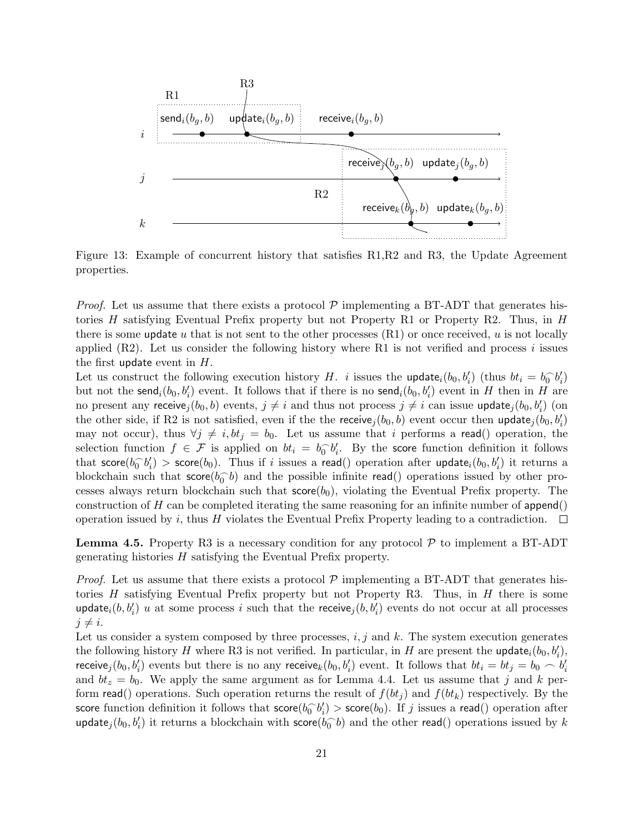

Figure 13: Example of concurrent history that satisfies R1,R2 and R3, the Update Agreement properties.

*Proof.* Let us assume that there exists a protocol  $P$  implementing a BT-ADT that generates histories  $H$  satisfying Eventual Prefix property but not Property R1 or Property R2. Thus, in  $H$ there is some update u that is not sent to the other processes  $(R1)$  or once received, u is not locally applied  $(R2)$ . Let us consider the following history where R1 is not verified and process i issues the first update event in  $H$ .

Let us construct the following execution history H. *i* issues the update<sub>i</sub>(b<sub>0</sub>, b'<sub>i</sub>) (thus  $bt_i = b_0^{\frown} b'_i$ ) but not the send<sub>i</sub> $(b_0, b'_i)$  event. It follows that if there is no send<sub>i</sub> $(b_0, b'_i)$  event in H then in H are no present any receive $j(b_0, b)$  events,  $j \neq i$  and thus not process  $j \neq i$  can issue update $j(b_0, b_i')$  (on the other side, if R2 is not satisfied, even if the the receive $j(b_0, b)$  event occur then update $j(b_0, b'_i)$ may not occur), thus  $\forall j \neq i, bt_j = b_0$ . Let us assume that i performs a read() operation, the selection function  $f \in \mathcal{F}$  is applied on  $bt_i = b_0^{\frown} b'_i$ . By the score function definition it follows that  $\mathsf{score}(b_0 \hat{b}_i') > \mathsf{score}(b_0)$ . Thus if i issues a read() operation after  $\mathsf{update}_i(b_0, b_i')$  it returns a blockchain such that  $score(b_0^{\frown}b)$  and the possible infinite read() operations issued by other processes always return blockchain such that  $\mathsf{score}(b_0)$ , violating the Eventual Prefix property. The construction of H can be completed iterating the same reasoning for an infinite number of  $\alpha$ operation issued by i, thus H violates the Eventual Prefix Property leading to a contradiction.  $\Box$ 

**Lemma 4.5.** Property R3 is a necessary condition for any protocol  $P$  to implement a BT-ADT generating histories H satisfying the Eventual Prefix property.

*Proof.* Let us assume that there exists a protocol  $P$  implementing a BT-ADT that generates histories H satisfying Eventual Prefix property but not Property R3. Thus, in  $H$  there is some update<sub>i</sub> $(b, b'_i)$  u at some process i such that the receive<sub>j</sub> $(b, b'_i)$  events do not occur at all processes  $j \neq i$ .

Let us consider a system composed by three processes,  $i, j$  and k. The system execution generates the following history H where R3 is not verified. In particular, in H are present the update<sub>i</sub> $(b_0, b'_i)$ , receive<sub>j</sub> $(b_0, b'_i)$  events but there is no any receive<sub>k</sub> $(b_0, b'_i)$  event. It follows that  $bt_i = bt_j = b_0 \frown b'_i$ and  $bt_z = b_0$ . We apply the same argument as for Lemma 4.4. Let us assume that j and k perform read() operations. Such operation returns the result of  $f(bt_j)$  and  $f(bt_k)$  respectively. By the score function definition it follows that  $\mathsf{score}(b_0^{-} b_i') > \mathsf{score}(b_0)$ . If j issues a read() operation after update<sub>j</sub>( $b_0, b'_i$ ) it returns a blockchain with score( $b_0$ <sup>-</sup> $b$ ) and the other read() operations issued by k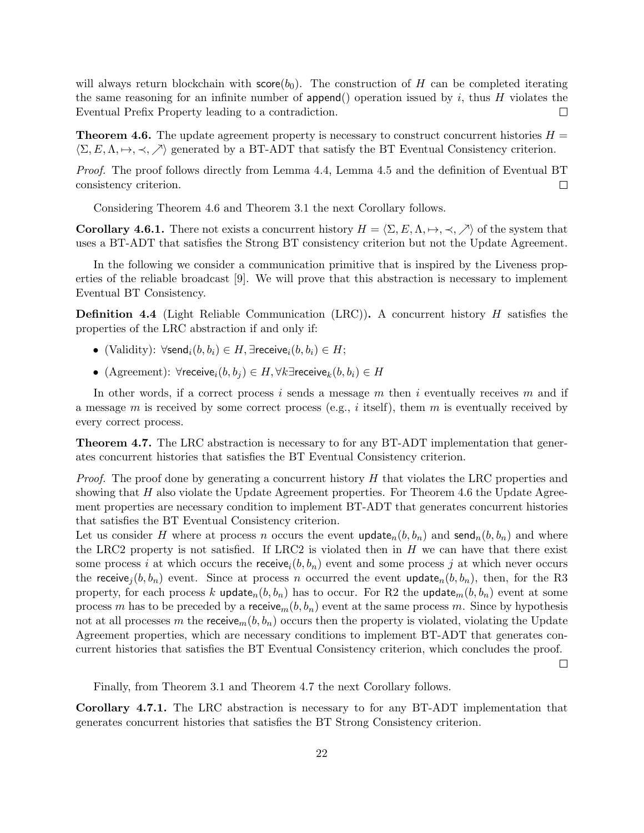will always return blockchain with  $score(b_0)$ . The construction of H can be completed iterating the same reasoning for an infinite number of append() operation issued by  $i$ , thus  $H$  violates the Eventual Prefix Property leading to a contradiction.  $\Box$ 

**Theorem 4.6.** The update agreement property is necessary to construct concurrent histories  $H =$  $\langle \Sigma, E, \Lambda, \mapsto, \prec, \nearrow \rangle$  generated by a BT-ADT that satisfy the BT Eventual Consistency criterion.

Proof. The proof follows directly from Lemma 4.4, Lemma 4.5 and the definition of Eventual BT consistency criterion.  $\Box$ 

Considering Theorem 4.6 and Theorem 3.1 the next Corollary follows.

**Corollary 4.6.1.** There not exists a concurrent history  $H = \langle \Sigma, E, \Lambda, \rightarrow, \prec, \nearrow \rangle$  of the system that uses a BT-ADT that satisfies the Strong BT consistency criterion but not the Update Agreement.

In the following we consider a communication primitive that is inspired by the Liveness properties of the reliable broadcast [9]. We will prove that this abstraction is necessary to implement Eventual BT Consistency.

**Definition 4.4** (Light Reliable Communication (LRC)). A concurrent history  $H$  satisfies the properties of the LRC abstraction if and only if:

- (Validity):  $\forall$ send $_i(b, b_i) \in H$ , ∃receive $_i(b, b_i) \in H$ ;
- (Agreement):  $\forall$ receive<sub>i</sub> $(b, b_i) \in H$ ,  $\forall k \exists$ receive<sub>k</sub> $(b, b_i) \in H$

In other words, if a correct process i sends a message m then i eventually receives m and if a message m is received by some correct process (e.g., i itself), them m is eventually received by every correct process.

Theorem 4.7. The LRC abstraction is necessary to for any BT-ADT implementation that generates concurrent histories that satisfies the BT Eventual Consistency criterion.

*Proof.* The proof done by generating a concurrent history  $H$  that violates the LRC properties and showing that  $H$  also violate the Update Agreement properties. For Theorem 4.6 the Update Agreement properties are necessary condition to implement BT-ADT that generates concurrent histories that satisfies the BT Eventual Consistency criterion.

Let us consider H where at process n occurs the event update<sub>n</sub> $(b, b_n)$  and send<sub>n</sub> $(b, b_n)$  and where the LRC2 property is not satisfied. If LRC2 is violated then in  $H$  we can have that there exist some process i at which occurs the receive<sub>i</sub> $(b, b_n)$  event and some process j at which never occurs the receive<sub>j</sub> $(b, b_n)$  event. Since at process n occurred the event update<sub>n</sub> $(b, b_n)$ , then, for the R3 property, for each process k update<sub>n</sub> $(b, b_n)$  has to occur. For R2 the update<sub>m</sub> $(b, b_n)$  event at some process m has to be preceded by a receive<sub>m</sub> $(b, b_n)$  event at the same process m. Since by hypothesis not at all processes m the receive<sub>m</sub> $(b, b_n)$  occurs then the property is violated, violating the Update Agreement properties, which are necessary conditions to implement BT-ADT that generates concurrent histories that satisfies the BT Eventual Consistency criterion, which concludes the proof.

 $\Box$ 

Finally, from Theorem 3.1 and Theorem 4.7 the next Corollary follows.

Corollary 4.7.1. The LRC abstraction is necessary to for any BT-ADT implementation that generates concurrent histories that satisfies the BT Strong Consistency criterion.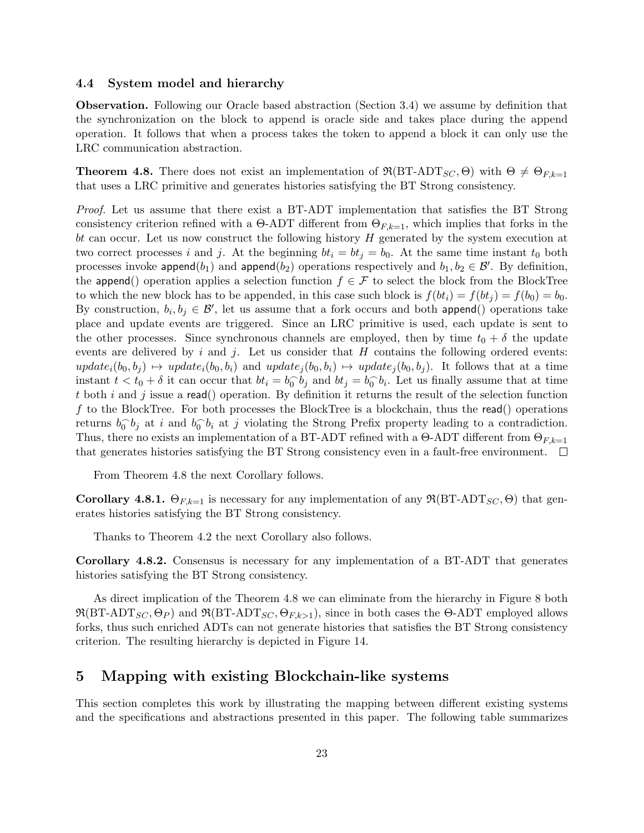### 4.4 System model and hierarchy

Observation. Following our Oracle based abstraction (Section 3.4) we assume by definition that the synchronization on the block to append is oracle side and takes place during the append operation. It follows that when a process takes the token to append a block it can only use the LRC communication abstraction.

**Theorem 4.8.** There does not exist an implementation of  $\Re(BT-ADT_{SC}, \Theta)$  with  $\Theta \neq \Theta_{F,k=1}$ that uses a LRC primitive and generates histories satisfying the BT Strong consistency.

Proof. Let us assume that there exist a BT-ADT implementation that satisfies the BT Strong consistency criterion refined with a  $\Theta$ -ADT different from  $\Theta_{F,k=1}$ , which implies that forks in the bt can occur. Let us now construct the following history H generated by the system execution at two correct processes i and j. At the beginning  $bt_i = bt_j = b_0$ . At the same time instant  $t_0$  both processes invoke append $(b_1)$  and append $(b_2)$  operations respectively and  $b_1, b_2 \in \mathcal{B}'$ . By definition, the append() operation applies a selection function  $f \in \mathcal{F}$  to select the block from the BlockTree to which the new block has to be appended, in this case such block is  $f(bt_i) = f(bt_i) = f(b_0) = b_0$ . By construction,  $b_i, b_j \in \mathcal{B}'$ , let us assume that a fork occurs and both append() operations take place and update events are triggered. Since an LRC primitive is used, each update is sent to the other processes. Since synchronous channels are employed, then by time  $t_0 + \delta$  the update events are delivered by i and j. Let us consider that  $H$  contains the following ordered events:  $update_i(b_0, b_i) \rightarrow update_i(b_0, b_i)$  and  $update_i(b_0, b_i) \rightarrow update_i(b_0, b_i)$ . It follows that at a time instant  $t < t_0 + \delta$  it can occur that  $bt_i = b_0 \delta_j$  and  $bt_j = b_0 \delta_i$ . Let us finally assume that at time t both i and j issue a read() operation. By definition it returns the result of the selection function f to the BlockTree. For both processes the BlockTree is a blockchain, thus the read() operations returns  $b_0^{\frown} b_j$  at i and  $b_0^{\frown} b_i$  at j violating the Strong Prefix property leading to a contradiction. Thus, there no exists an implementation of a BT-ADT refined with a  $\Theta$ -ADT different from  $\Theta_{F,k=1}$ that generates histories satisfying the BT Strong consistency even in a fault-free environment.  $\Box$ 

From Theorem 4.8 the next Corollary follows.

**Corollary 4.8.1.**  $\Theta_{F,k=1}$  is necessary for any implementation of any  $\Re(BT-ADT_{SC}, \Theta)$  that generates histories satisfying the BT Strong consistency.

Thanks to Theorem 4.2 the next Corollary also follows.

Corollary 4.8.2. Consensus is necessary for any implementation of a BT-ADT that generates histories satisfying the BT Strong consistency.

As direct implication of the Theorem 4.8 we can eliminate from the hierarchy in Figure 8 both  $\Re(BT-ADT_{SC}, \Theta_P)$  and  $\Re(BT-ADT_{SC}, \Theta_{F,k>1})$ , since in both cases the  $\Theta$ -ADT employed allows forks, thus such enriched ADTs can not generate histories that satisfies the BT Strong consistency criterion. The resulting hierarchy is depicted in Figure 14.

## 5 Mapping with existing Blockchain-like systems

This section completes this work by illustrating the mapping between different existing systems and the specifications and abstractions presented in this paper. The following table summarizes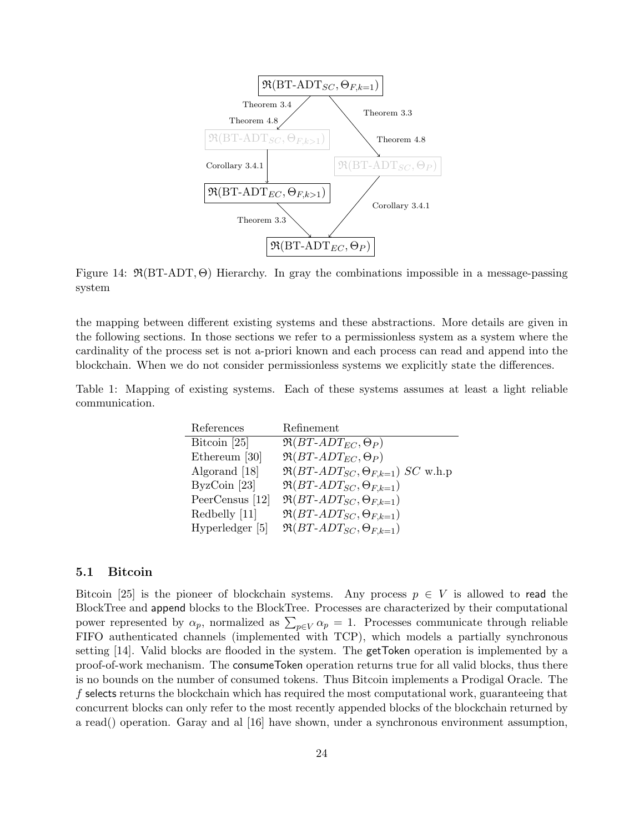

Figure 14:  $\Re(BT-ADT, \Theta)$  Hierarchy. In gray the combinations impossible in a message-passing system

the mapping between different existing systems and these abstractions. More details are given in the following sections. In those sections we refer to a permissionless system as a system where the cardinality of the process set is not a-priori known and each process can read and append into the blockchain. When we do not consider permissionless systems we explicitly state the differences.

Table 1: Mapping of existing systems. Each of these systems assumes at least a light reliable communication.

| References      | Refinement                                           |
|-----------------|------------------------------------------------------|
| Bitcoin $[25]$  | $\Re(BT\text{-}ADT_{EC},\Theta_P)$                   |
| Ethereum [30]   | $\Re(BT\text{-}ADT_{EC},\Theta_P)$                   |
| Algorand [18]   | $\Re(BT \text{-} ADT_{SC}, \Theta_{F,k=1})$ SC w.h.p |
| $ByzCoin$ [23]  | $\Re(BT \text{-} ADT_{SC}, \Theta_{F,k=1})$          |
| PeerCensus [12] | $\Re(BT\text{-}ADT_{SC}, \Theta_{F,k=1})$            |
| Redbelly [11]   | $\Re(BT \text{-} ADT_{SC}, \Theta_{F,k=1})$          |
| Hyperledger [5] | $\Re(BT\text{-}ADT_{SC}, \Theta_{F,k=1})$            |

### 5.1 Bitcoin

Bitcoin [25] is the pioneer of blockchain systems. Any process  $p \in V$  is allowed to read the BlockTree and append blocks to the BlockTree. Processes are characterized by their computational power represented by  $\alpha_p$ , normalized as  $\sum_{p \in V} \alpha_p = 1$ . Processes communicate through reliable FIFO authenticated channels (implemented with TCP), which models a partially synchronous setting [14]. Valid blocks are flooded in the system. The getToken operation is implemented by a proof-of-work mechanism. The consumeToken operation returns true for all valid blocks, thus there is no bounds on the number of consumed tokens. Thus Bitcoin implements a Prodigal Oracle. The f selects returns the blockchain which has required the most computational work, guaranteeing that concurrent blocks can only refer to the most recently appended blocks of the blockchain returned by a read() operation. Garay and al [16] have shown, under a synchronous environment assumption,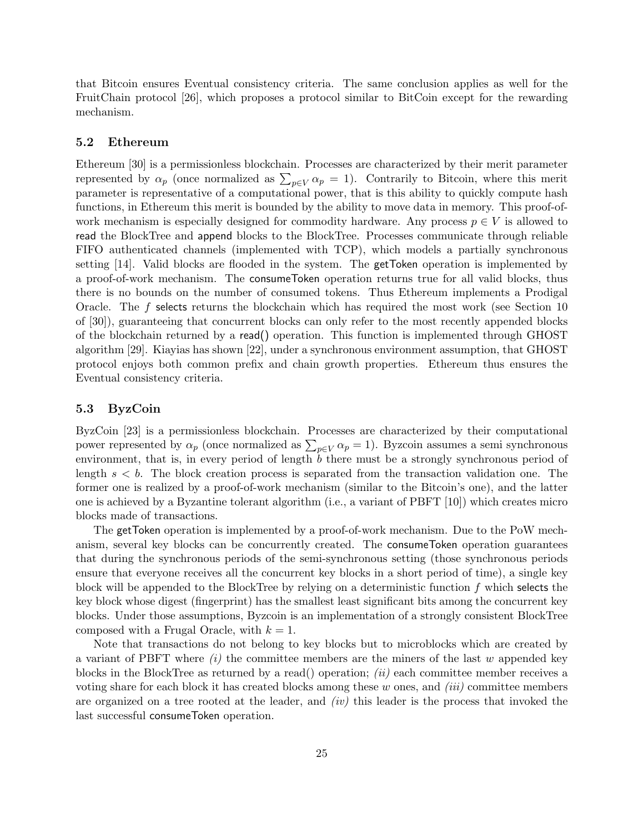that Bitcoin ensures Eventual consistency criteria. The same conclusion applies as well for the FruitChain protocol [26], which proposes a protocol similar to BitCoin except for the rewarding mechanism.

#### 5.2 Ethereum

Ethereum [30] is a permissionless blockchain. Processes are characterized by their merit parameter represented by  $\alpha_p$  (once normalized as  $\sum_{p \in V} \alpha_p = 1$ ). Contrarily to Bitcoin, where this merit parameter is representative of a computational power, that is this ability to quickly compute hash functions, in Ethereum this merit is bounded by the ability to move data in memory. This proof-ofwork mechanism is especially designed for commodity hardware. Any process  $p \in V$  is allowed to read the BlockTree and append blocks to the BlockTree. Processes communicate through reliable FIFO authenticated channels (implemented with TCP), which models a partially synchronous setting [14]. Valid blocks are flooded in the system. The getToken operation is implemented by a proof-of-work mechanism. The consumeToken operation returns true for all valid blocks, thus there is no bounds on the number of consumed tokens. Thus Ethereum implements a Prodigal Oracle. The f selects returns the blockchain which has required the most work (see Section 10 of [30]), guaranteeing that concurrent blocks can only refer to the most recently appended blocks of the blockchain returned by a read() operation. This function is implemented through GHOST algorithm [29]. Kiayias has shown [22], under a synchronous environment assumption, that GHOST protocol enjoys both common prefix and chain growth properties. Ethereum thus ensures the Eventual consistency criteria.

## 5.3 ByzCoin

ByzCoin [23] is a permissionless blockchain. Processes are characterized by their computational power represented by  $\alpha_p$  (once normalized as  $\sum_{p \in V} \alpha_p = 1$ ). Byzcoin assumes a semi synchronous environment, that is, in every period of length b there must be a strongly synchronous period of length  $s < b$ . The block creation process is separated from the transaction validation one. The former one is realized by a proof-of-work mechanism (similar to the Bitcoin's one), and the latter one is achieved by a Byzantine tolerant algorithm (i.e., a variant of PBFT [10]) which creates micro blocks made of transactions.

The getToken operation is implemented by a proof-of-work mechanism. Due to the PoW mechanism, several key blocks can be concurrently created. The consumeToken operation guarantees that during the synchronous periods of the semi-synchronous setting (those synchronous periods ensure that everyone receives all the concurrent key blocks in a short period of time), a single key block will be appended to the BlockTree by relying on a deterministic function  $f$  which selects the key block whose digest (fingerprint) has the smallest least significant bits among the concurrent key blocks. Under those assumptions, Byzcoin is an implementation of a strongly consistent BlockTree composed with a Frugal Oracle, with  $k = 1$ .

Note that transactions do not belong to key blocks but to microblocks which are created by a variant of PBFT where  $(i)$  the committee members are the miners of the last w appended key blocks in the BlockTree as returned by a read() operation; (ii) each committee member receives a voting share for each block it has created blocks among these  $w$  ones, and  $(iii)$  committee members are organized on a tree rooted at the leader, and  $(iv)$  this leader is the process that invoked the last successful consumeToken operation.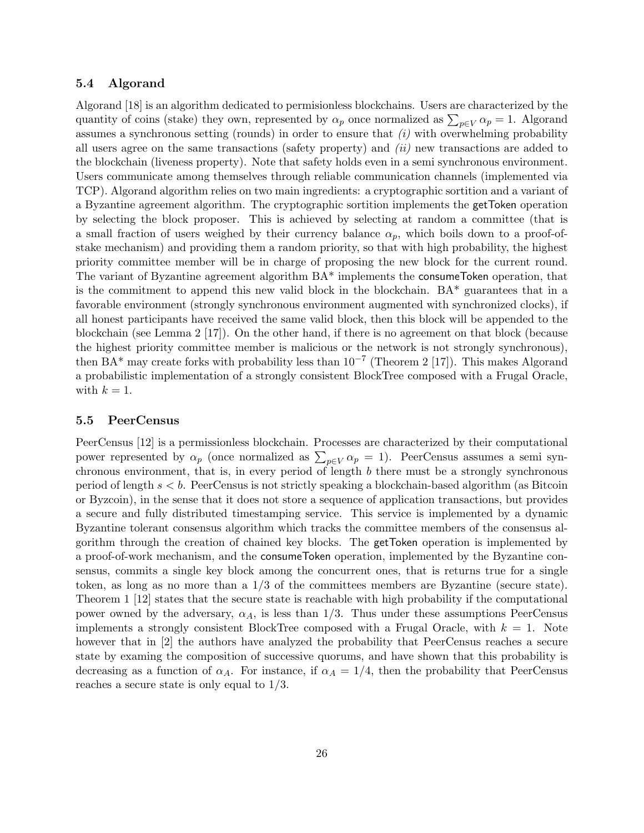## 5.4 Algorand

Algorand [18] is an algorithm dedicated to permisionless blockchains. Users are characterized by the quantity of coins (stake) they own, represented by  $\alpha_p$  once normalized as  $\sum_{p\in V} \alpha_p = 1$ . Algorand assumes a synchronous setting (rounds) in order to ensure that  $(i)$  with overwhelming probability all users agree on the same transactions (safety property) and  $(ii)$  new transactions are added to the blockchain (liveness property). Note that safety holds even in a semi synchronous environment. Users communicate among themselves through reliable communication channels (implemented via TCP). Algorand algorithm relies on two main ingredients: a cryptographic sortition and a variant of a Byzantine agreement algorithm. The cryptographic sortition implements the getToken operation by selecting the block proposer. This is achieved by selecting at random a committee (that is a small fraction of users weighed by their currency balance  $\alpha_p$ , which boils down to a proof-ofstake mechanism) and providing them a random priority, so that with high probability, the highest priority committee member will be in charge of proposing the new block for the current round. The variant of Byzantine agreement algorithm BA\* implements the consumeToken operation, that is the commitment to append this new valid block in the blockchain.  $BA^*$  guarantees that in a favorable environment (strongly synchronous environment augmented with synchronized clocks), if all honest participants have received the same valid block, then this block will be appended to the blockchain (see Lemma 2 [17]). On the other hand, if there is no agreement on that block (because the highest priority committee member is malicious or the network is not strongly synchronous), then BA<sup>\*</sup> may create forks with probability less than  $10^{-7}$  (Theorem 2 [17]). This makes Algorand a probabilistic implementation of a strongly consistent BlockTree composed with a Frugal Oracle, with  $k = 1$ .

### 5.5 PeerCensus

PeerCensus [12] is a permissionless blockchain. Processes are characterized by their computational power represented by  $\alpha_p$  (once normalized as  $\sum_{p \in V} \alpha_p = 1$ ). PeerCensus assumes a semi synchronous environment, that is, in every period of length b there must be a strongly synchronous period of length  $s < b$ . PeerCensus is not strictly speaking a blockchain-based algorithm (as Bitcoin or Byzcoin), in the sense that it does not store a sequence of application transactions, but provides a secure and fully distributed timestamping service. This service is implemented by a dynamic Byzantine tolerant consensus algorithm which tracks the committee members of the consensus algorithm through the creation of chained key blocks. The getToken operation is implemented by a proof-of-work mechanism, and the consumeToken operation, implemented by the Byzantine consensus, commits a single key block among the concurrent ones, that is returns true for a single token, as long as no more than a 1/3 of the committees members are Byzantine (secure state). Theorem 1 [12] states that the secure state is reachable with high probability if the computational power owned by the adversary,  $\alpha_A$ , is less than 1/3. Thus under these assumptions PeerCensus implements a strongly consistent BlockTree composed with a Frugal Oracle, with  $k = 1$ . Note however that in [2] the authors have analyzed the probability that PeerCensus reaches a secure state by examing the composition of successive quorums, and have shown that this probability is decreasing as a function of  $\alpha_A$ . For instance, if  $\alpha_A = 1/4$ , then the probability that PeerCensus reaches a secure state is only equal to 1/3.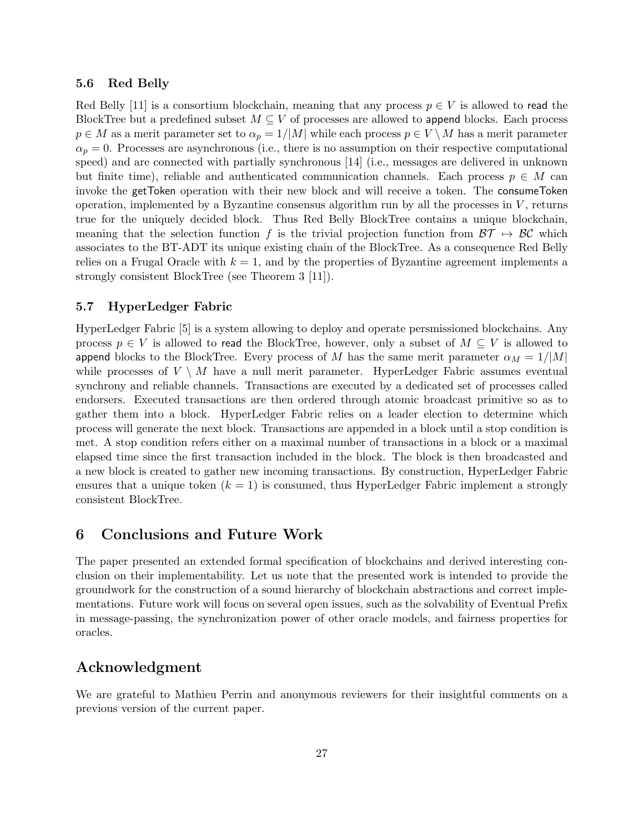#### 5.6 Red Belly

Red Belly [11] is a consortium blockchain, meaning that any process  $p \in V$  is allowed to read the BlockTree but a predefined subset  $M \subseteq V$  of processes are allowed to append blocks. Each process  $p \in M$  as a merit parameter set to  $\alpha_p = 1/|M|$  while each process  $p \in V \setminus M$  has a merit parameter  $\alpha_p = 0$ . Processes are asynchronous (i.e., there is no assumption on their respective computational speed) and are connected with partially synchronous [14] (i.e., messages are delivered in unknown but finite time), reliable and authenticated communication channels. Each process  $p \in M$  can invoke the getToken operation with their new block and will receive a token. The consumeToken operation, implemented by a Byzantine consensus algorithm run by all the processes in  $V$ , returns true for the uniquely decided block. Thus Red Belly BlockTree contains a unique blockchain, meaning that the selection function f is the trivial projection function from  $\mathcal{BT} \mapsto \mathcal{BC}$  which associates to the BT-ADT its unique existing chain of the BlockTree. As a consequence Red Belly relies on a Frugal Oracle with  $k = 1$ , and by the properties of Byzantine agreement implements a strongly consistent BlockTree (see Theorem 3 [11]).

## 5.7 HyperLedger Fabric

HyperLedger Fabric [5] is a system allowing to deploy and operate persmissioned blockchains. Any process  $p \in V$  is allowed to read the BlockTree, however, only a subset of  $M \subseteq V$  is allowed to append blocks to the BlockTree. Every process of M has the same merit parameter  $\alpha_M = 1/|M|$ while processes of  $V \setminus M$  have a null merit parameter. HyperLedger Fabric assumes eventual synchrony and reliable channels. Transactions are executed by a dedicated set of processes called endorsers. Executed transactions are then ordered through atomic broadcast primitive so as to gather them into a block. HyperLedger Fabric relies on a leader election to determine which process will generate the next block. Transactions are appended in a block until a stop condition is met. A stop condition refers either on a maximal number of transactions in a block or a maximal elapsed time since the first transaction included in the block. The block is then broadcasted and a new block is created to gather new incoming transactions. By construction, HyperLedger Fabric ensures that a unique token  $(k = 1)$  is consumed, thus HyperLedger Fabric implement a strongly consistent BlockTree.

## 6 Conclusions and Future Work

The paper presented an extended formal specification of blockchains and derived interesting conclusion on their implementability. Let us note that the presented work is intended to provide the groundwork for the construction of a sound hierarchy of blockchain abstractions and correct implementations. Future work will focus on several open issues, such as the solvability of Eventual Prefix in message-passing, the synchronization power of other oracle models, and fairness properties for oracles.

## Acknowledgment

We are grateful to Mathieu Perrin and anonymous reviewers for their insightful comments on a previous version of the current paper.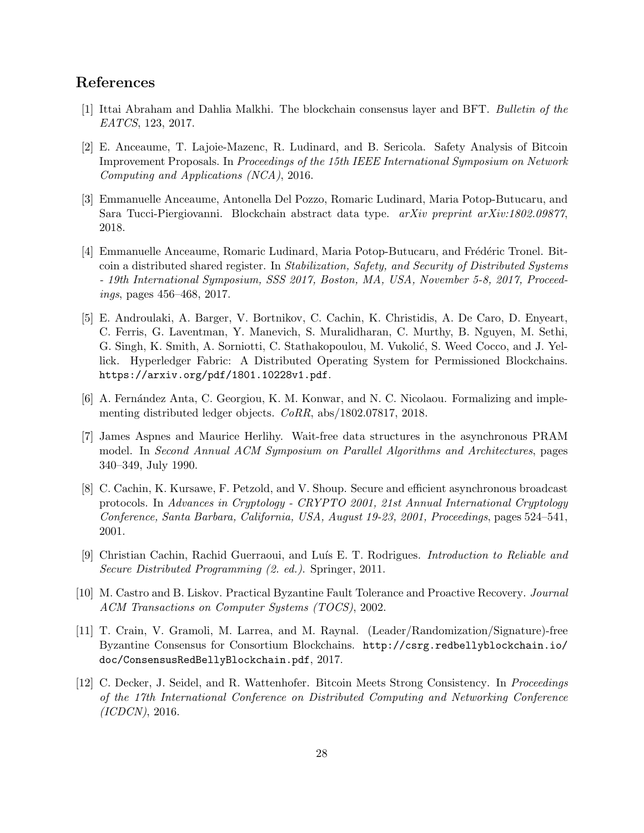## References

- [1] Ittai Abraham and Dahlia Malkhi. The blockchain consensus layer and BFT. Bulletin of the EATCS, 123, 2017.
- [2] E. Anceaume, T. Lajoie-Mazenc, R. Ludinard, and B. Sericola. Safety Analysis of Bitcoin Improvement Proposals. In Proceedings of the 15th IEEE International Symposium on Network Computing and Applications (NCA), 2016.
- [3] Emmanuelle Anceaume, Antonella Del Pozzo, Romaric Ludinard, Maria Potop-Butucaru, and Sara Tucci-Piergiovanni. Blockchain abstract data type. arXiv preprint arXiv:1802.09877, 2018.
- [4] Emmanuelle Anceaume, Romaric Ludinard, Maria Potop-Butucaru, and Frédéric Tronel. Bitcoin a distributed shared register. In Stabilization, Safety, and Security of Distributed Systems - 19th International Symposium, SSS 2017, Boston, MA, USA, November 5-8, 2017, Proceedings, pages 456–468, 2017.
- [5] E. Androulaki, A. Barger, V. Bortnikov, C. Cachin, K. Christidis, A. De Caro, D. Enyeart, C. Ferris, G. Laventman, Y. Manevich, S. Muralidharan, C. Murthy, B. Nguyen, M. Sethi, G. Singh, K. Smith, A. Sorniotti, C. Stathakopoulou, M. Vukolić, S. Weed Cocco, and J. Yellick. Hyperledger Fabric: A Distributed Operating System for Permissioned Blockchains. https://arxiv.org/pdf/1801.10228v1.pdf.
- [6] A. Fernández Anta, C. Georgiou, K. M. Konwar, and N. C. Nicolaou. Formalizing and implementing distributed ledger objects. CoRR, abs/1802.07817, 2018.
- [7] James Aspnes and Maurice Herlihy. Wait-free data structures in the asynchronous PRAM model. In Second Annual ACM Symposium on Parallel Algorithms and Architectures, pages 340–349, July 1990.
- [8] C. Cachin, K. Kursawe, F. Petzold, and V. Shoup. Secure and efficient asynchronous broadcast protocols. In Advances in Cryptology - CRYPTO 2001, 21st Annual International Cryptology Conference, Santa Barbara, California, USA, August 19-23, 2001, Proceedings, pages 524–541, 2001.
- [9] Christian Cachin, Rachid Guerraoui, and Luís E. T. Rodrigues. *Introduction to Reliable and* Secure Distributed Programming (2. ed.). Springer, 2011.
- [10] M. Castro and B. Liskov. Practical Byzantine Fault Tolerance and Proactive Recovery. Journal ACM Transactions on Computer Systems (TOCS), 2002.
- [11] T. Crain, V. Gramoli, M. Larrea, and M. Raynal. (Leader/Randomization/Signature)-free Byzantine Consensus for Consortium Blockchains. http://csrg.redbellyblockchain.io/ doc/ConsensusRedBellyBlockchain.pdf, 2017.
- [12] C. Decker, J. Seidel, and R. Wattenhofer. Bitcoin Meets Strong Consistency. In Proceedings of the 17th International Conference on Distributed Computing and Networking Conference (ICDCN), 2016.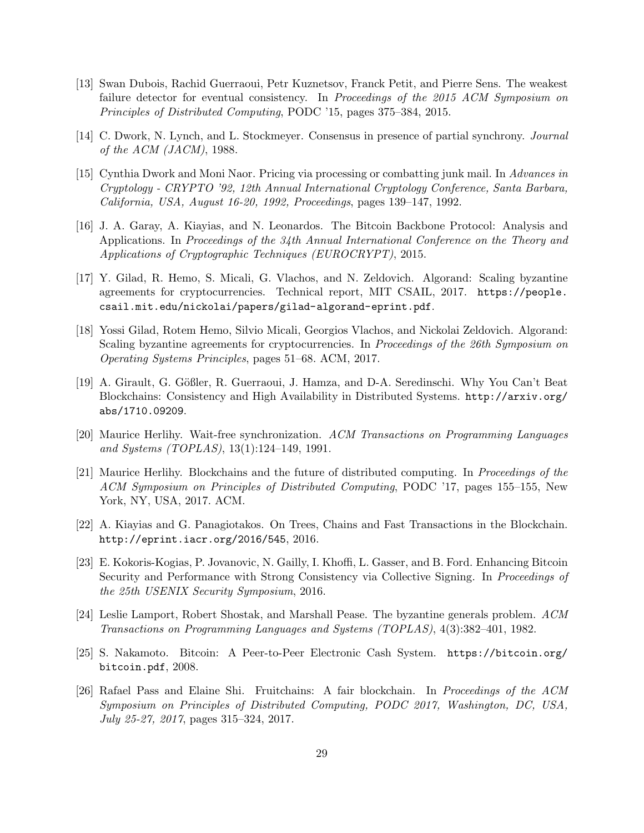- [13] Swan Dubois, Rachid Guerraoui, Petr Kuznetsov, Franck Petit, and Pierre Sens. The weakest failure detector for eventual consistency. In Proceedings of the 2015 ACM Symposium on Principles of Distributed Computing, PODC '15, pages 375–384, 2015.
- [14] C. Dwork, N. Lynch, and L. Stockmeyer. Consensus in presence of partial synchrony. Journal of the ACM (JACM), 1988.
- [15] Cynthia Dwork and Moni Naor. Pricing via processing or combatting junk mail. In Advances in Cryptology - CRYPTO '92, 12th Annual International Cryptology Conference, Santa Barbara, California, USA, August 16-20, 1992, Proceedings, pages 139–147, 1992.
- [16] J. A. Garay, A. Kiayias, and N. Leonardos. The Bitcoin Backbone Protocol: Analysis and Applications. In Proceedings of the 34th Annual International Conference on the Theory and Applications of Cryptographic Techniques (EUROCRYPT), 2015.
- [17] Y. Gilad, R. Hemo, S. Micali, G. Vlachos, and N. Zeldovich. Algorand: Scaling byzantine agreements for cryptocurrencies. Technical report, MIT CSAIL, 2017. https://people. csail.mit.edu/nickolai/papers/gilad-algorand-eprint.pdf.
- [18] Yossi Gilad, Rotem Hemo, Silvio Micali, Georgios Vlachos, and Nickolai Zeldovich. Algorand: Scaling byzantine agreements for cryptocurrencies. In Proceedings of the 26th Symposium on Operating Systems Principles, pages 51–68. ACM, 2017.
- [19] A. Girault, G. Gößler, R. Guerraoui, J. Hamza, and D-A. Seredinschi. Why You Can't Beat Blockchains: Consistency and High Availability in Distributed Systems. http://arxiv.org/ abs/1710.09209.
- [20] Maurice Herlihy. Wait-free synchronization. ACM Transactions on Programming Languages and Systems (TOPLAS), 13(1):124–149, 1991.
- [21] Maurice Herlihy. Blockchains and the future of distributed computing. In Proceedings of the ACM Symposium on Principles of Distributed Computing, PODC '17, pages 155–155, New York, NY, USA, 2017. ACM.
- [22] A. Kiayias and G. Panagiotakos. On Trees, Chains and Fast Transactions in the Blockchain. http://eprint.iacr.org/2016/545, 2016.
- [23] E. Kokoris-Kogias, P. Jovanovic, N. Gailly, I. Khoffi, L. Gasser, and B. Ford. Enhancing Bitcoin Security and Performance with Strong Consistency via Collective Signing. In Proceedings of the 25th USENIX Security Symposium, 2016.
- [24] Leslie Lamport, Robert Shostak, and Marshall Pease. The byzantine generals problem. ACM Transactions on Programming Languages and Systems (TOPLAS), 4(3):382–401, 1982.
- [25] S. Nakamoto. Bitcoin: A Peer-to-Peer Electronic Cash System. https://bitcoin.org/ bitcoin.pdf, 2008.
- [26] Rafael Pass and Elaine Shi. Fruitchains: A fair blockchain. In Proceedings of the ACM Symposium on Principles of Distributed Computing, PODC 2017, Washington, DC, USA, July 25-27, 2017, pages 315–324, 2017.